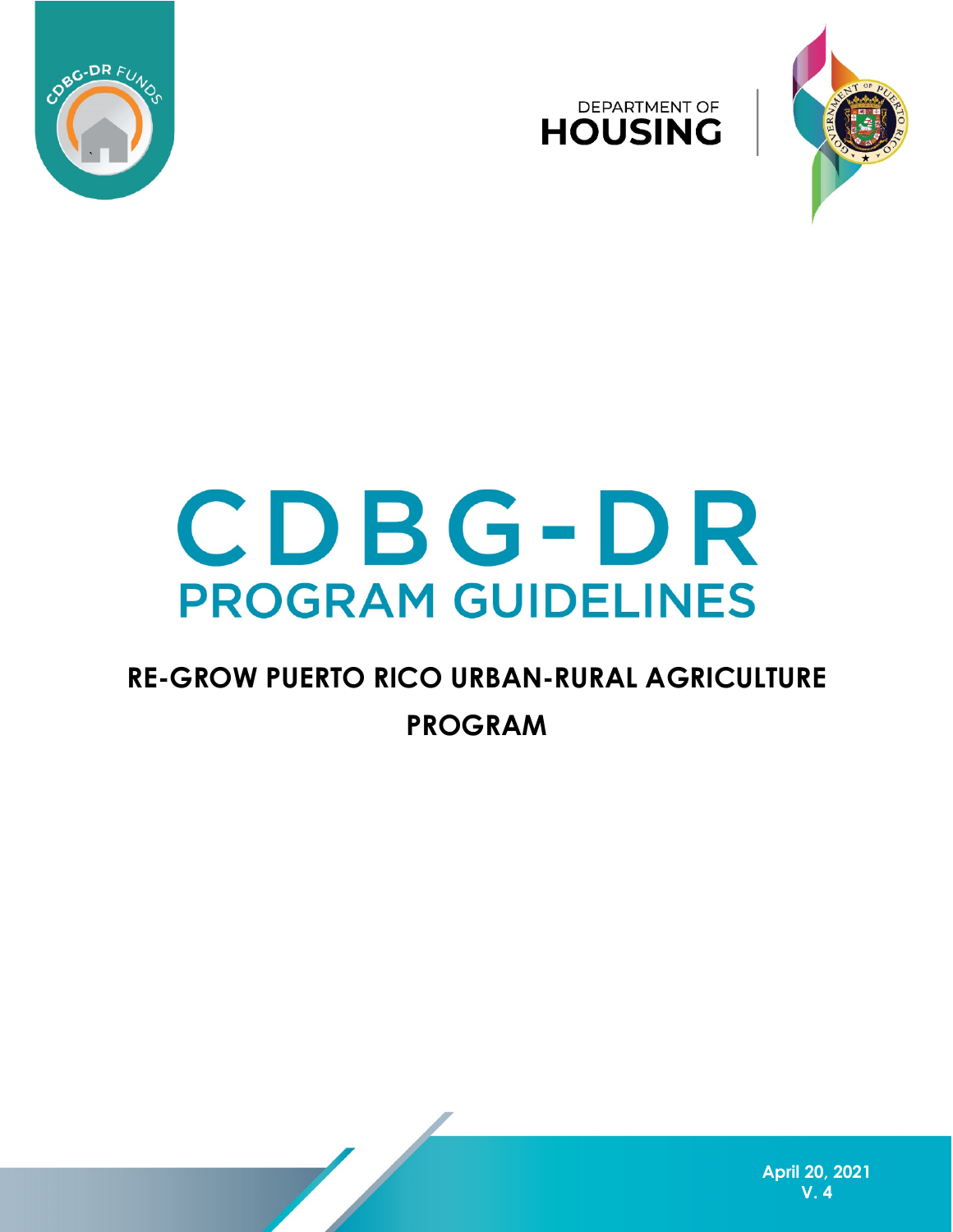





# CDBG-DR **PROGRAM GUIDELINES**

# **RE-GROW PUERTO RICO URBAN-RURAL AGRICULTURE**

# **PROGRAM**

**April 20, 2021 V. 4**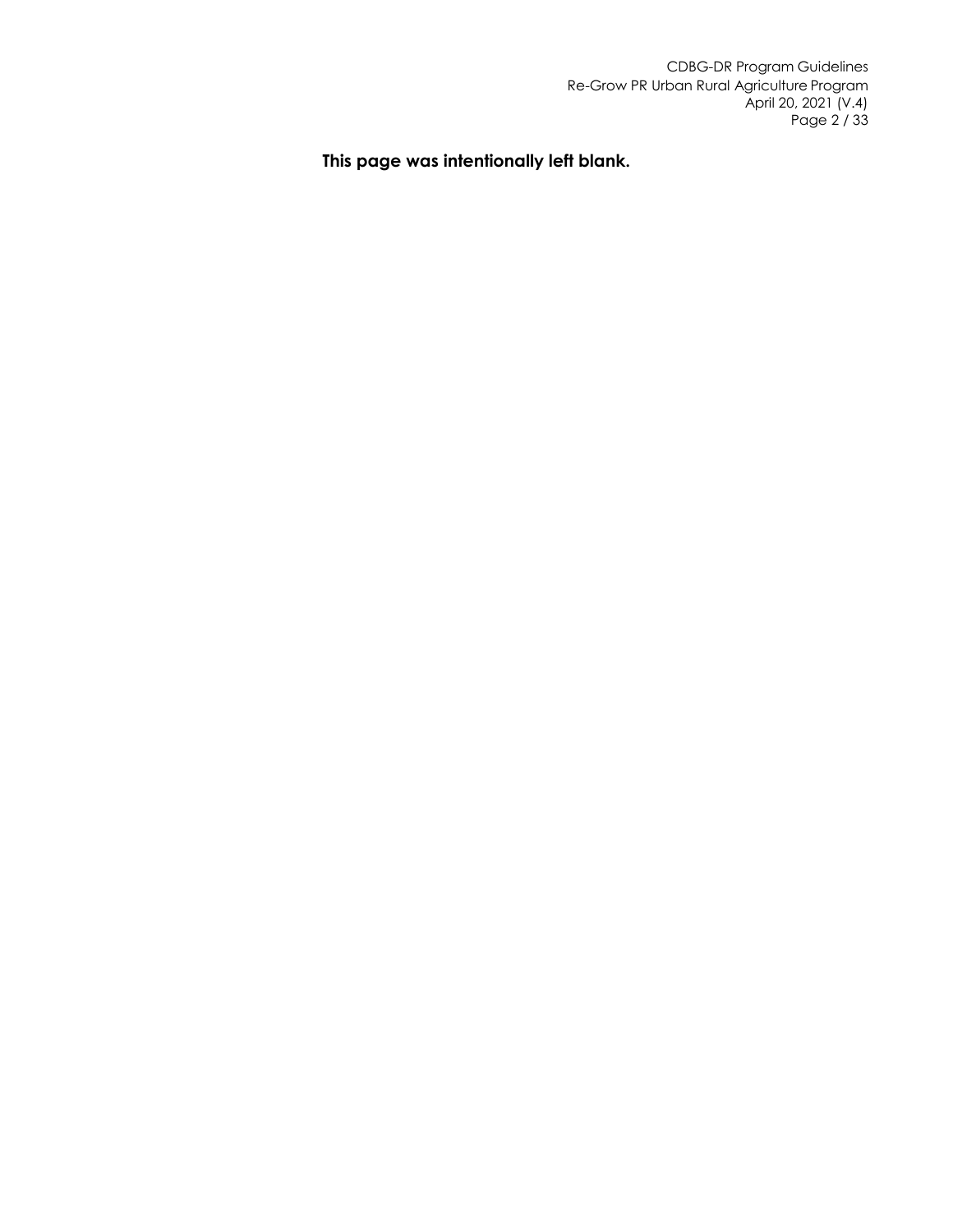CDBG-DR Program Guidelines Re-Grow PR Urban Rural Agriculture Program April 20, 2021 (V.4) Page 2 / 33

**This page was intentionally left blank.**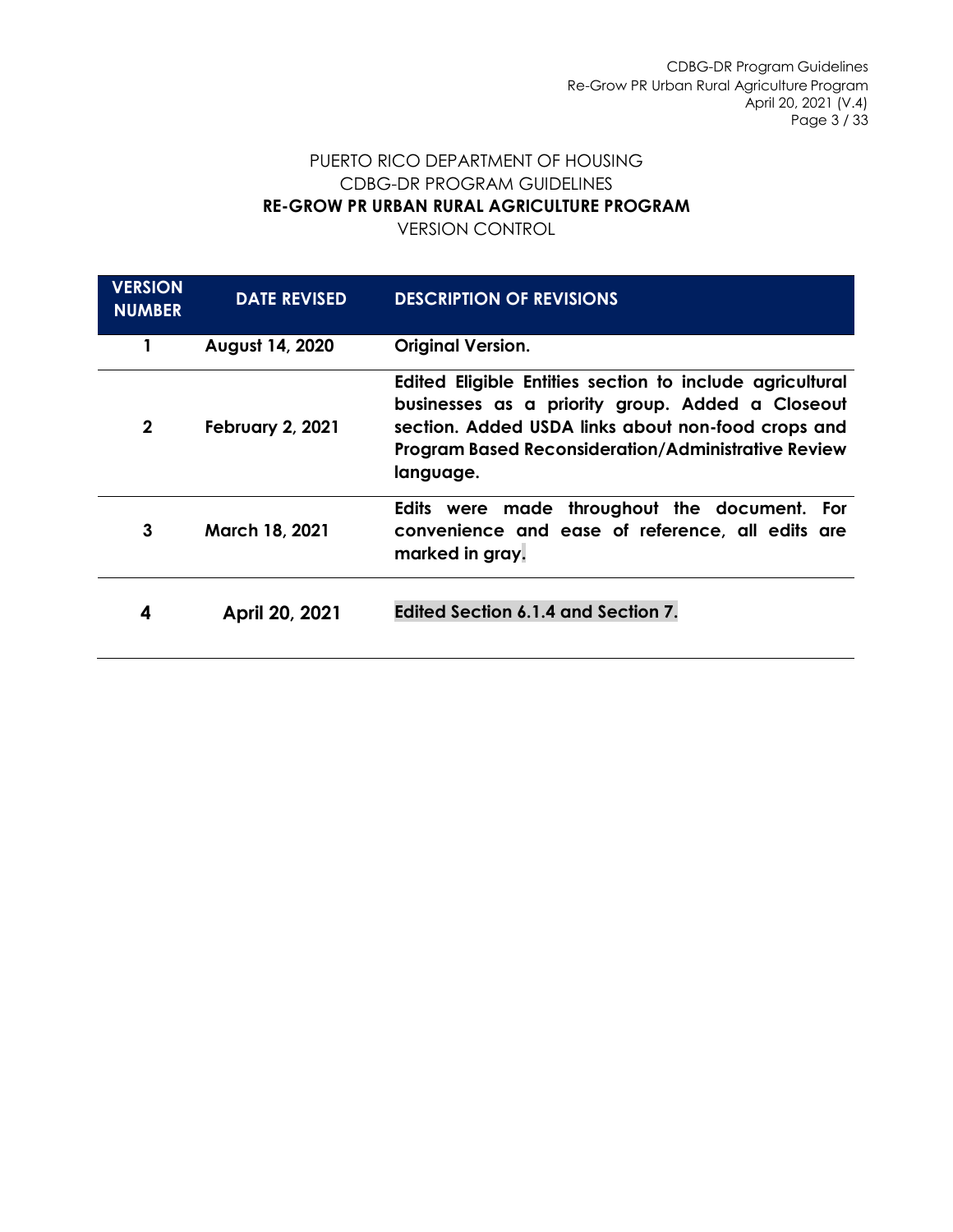CDBG-DR Program Guidelines Re-Grow PR Urban Rural Agriculture Program April 20, 2021 (V.4) Page 3 / 33

# PUERTO RICO DEPARTMENT OF HOUSING CDBG-DR PROGRAM GUIDELINES **RE-GROW PR URBAN RURAL AGRICULTURE PROGRAM**

VERSION CONTROL

| <b>VERSION</b><br><b>NUMBER</b> | <b>DATE REVISED</b>     | <b>DESCRIPTION OF REVISIONS</b>                                                                                                                                                                                                               |
|---------------------------------|-------------------------|-----------------------------------------------------------------------------------------------------------------------------------------------------------------------------------------------------------------------------------------------|
|                                 | August 14, 2020         | <b>Original Version.</b>                                                                                                                                                                                                                      |
| $\mathbf 2$                     | <b>February 2, 2021</b> | Edited Eligible Entities section to include agricultural<br>businesses as a priority group. Added a Closeout<br>section. Added USDA links about non-food crops and<br><b>Program Based Reconsideration/Administrative Review</b><br>language. |
| 3                               | <b>March 18, 2021</b>   | Edits were made throughout the document. For<br>convenience and ease of reference, all edits are<br>marked in gray.                                                                                                                           |
| 4                               | April 20, 2021          | Edited Section 6.1.4 and Section 7.                                                                                                                                                                                                           |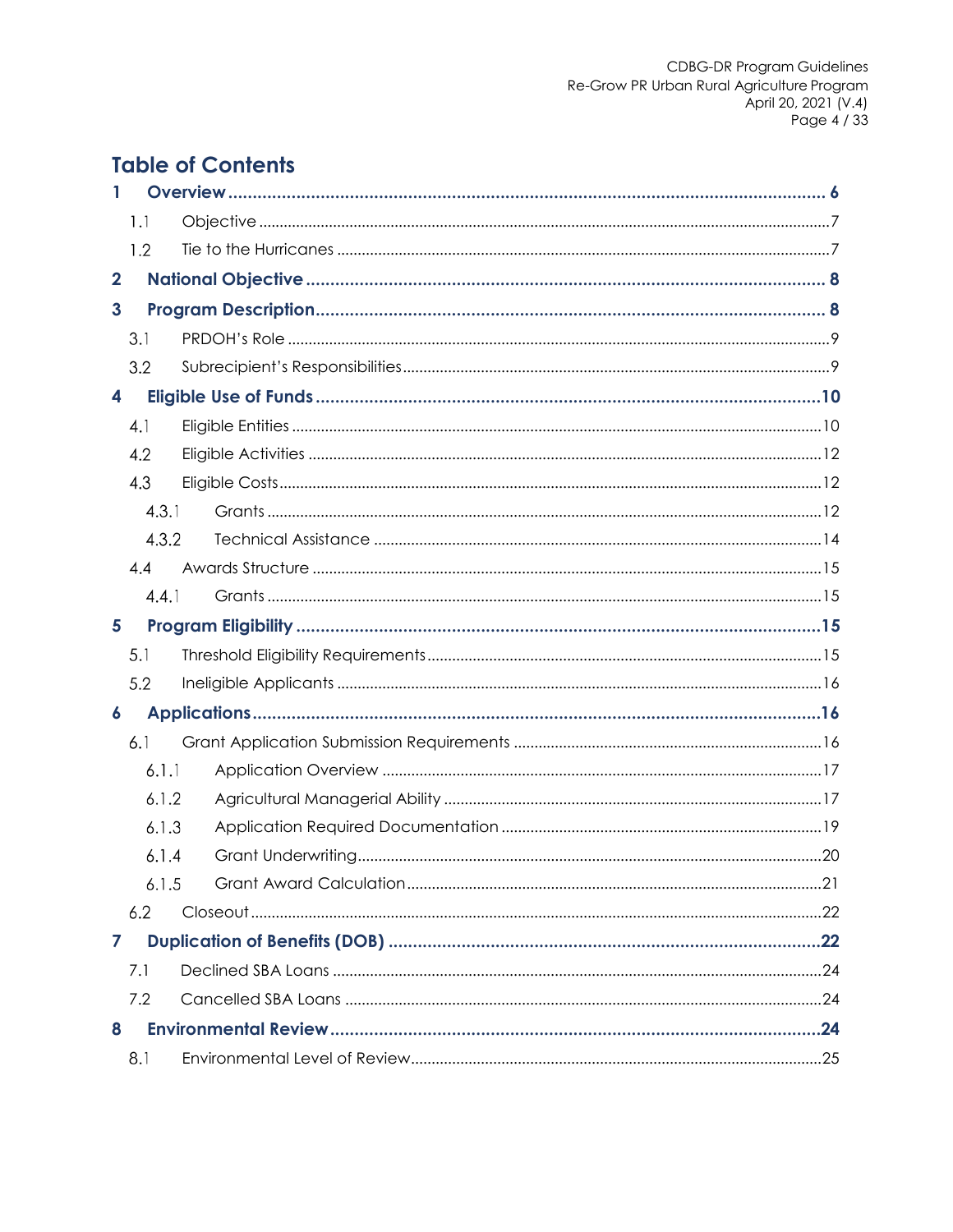# **Table of Contents**

| 1                       |       |  |
|-------------------------|-------|--|
|                         | 1.1   |  |
|                         | 1.2   |  |
| $\overline{\mathbf{2}}$ |       |  |
| 3                       |       |  |
|                         | 3.1   |  |
|                         | 3.2   |  |
| 4                       |       |  |
|                         | 4.1   |  |
|                         | 4.2   |  |
|                         | 4.3   |  |
|                         | 4.3.1 |  |
|                         | 4.3.2 |  |
|                         | 4.4   |  |
|                         | 4.4.1 |  |
| 5                       |       |  |
|                         | 5.1   |  |
|                         | 5.2   |  |
| $\boldsymbol{6}$        |       |  |
|                         | 6.1   |  |
|                         | 6.1.1 |  |
|                         | 6.1.2 |  |
|                         | 6.1.3 |  |
|                         | 6.1.4 |  |
|                         | 6.1.5 |  |
|                         | 6.2   |  |
| 7                       |       |  |
|                         | 7.1   |  |
|                         | 7.2   |  |
| 8                       |       |  |
|                         | 8.1   |  |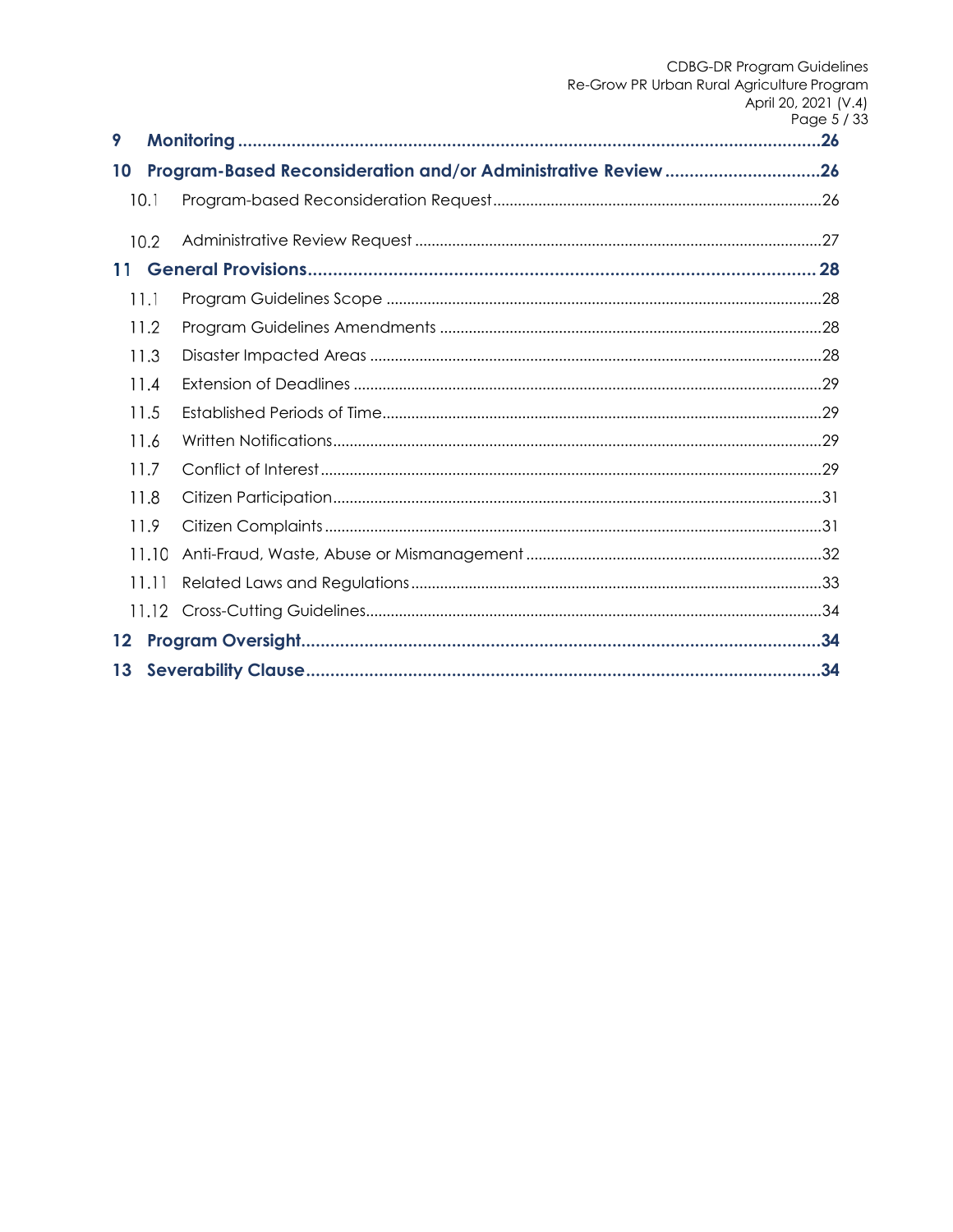| 9       |       |                                                              |  |  |
|---------|-------|--------------------------------------------------------------|--|--|
| 10      |       | Program-Based Reconsideration and/or Administrative Review26 |  |  |
|         | 10.1  |                                                              |  |  |
|         | 10.2  |                                                              |  |  |
|         |       |                                                              |  |  |
|         | 11.1  |                                                              |  |  |
|         | 11.2  |                                                              |  |  |
|         | 11.3  |                                                              |  |  |
|         | 11.4  |                                                              |  |  |
|         | 11.5  |                                                              |  |  |
|         | 11.6  |                                                              |  |  |
|         | 11.7  |                                                              |  |  |
|         | 11.8  |                                                              |  |  |
|         | 11.9  |                                                              |  |  |
|         | 11.10 |                                                              |  |  |
|         | 11.11 |                                                              |  |  |
|         |       |                                                              |  |  |
| $12 \,$ |       |                                                              |  |  |
| 13      |       |                                                              |  |  |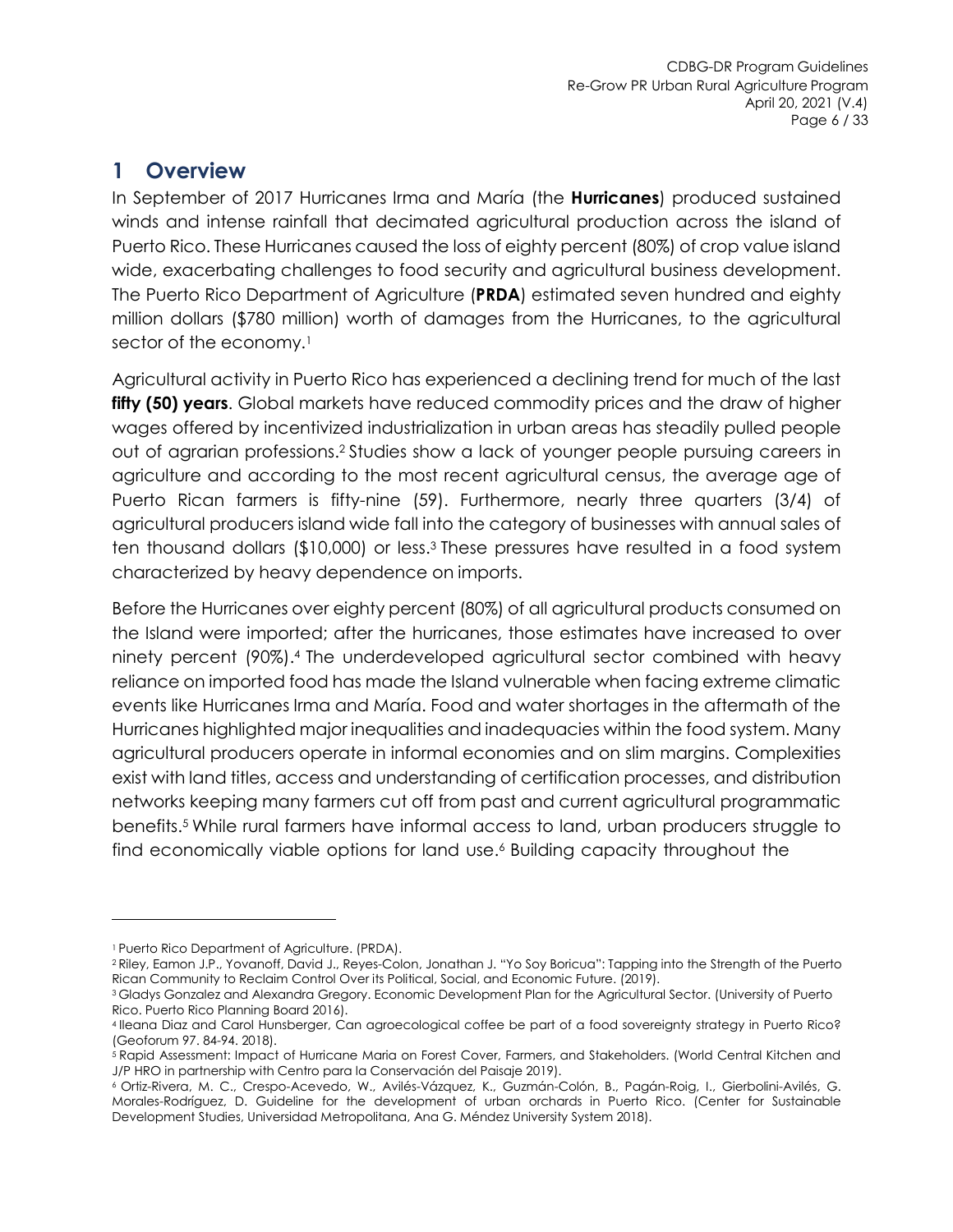# <span id="page-5-0"></span>**1 Overview**

In September of 2017 Hurricanes Irma and María (the **Hurricanes**) produced sustained winds and intense rainfall that decimated agricultural production across the island of Puerto Rico. These Hurricanes caused the loss of eighty percent (80%) of crop value island wide, exacerbating challenges to food security and agricultural business development. The Puerto Rico Department of Agriculture (**PRDA**) estimated seven hundred and eighty million dollars (\$780 million) worth of damages from the Hurricanes, to the agricultural sector of the economy.<sup>1</sup>

Agricultural activity in Puerto Rico has experienced a declining trend for much of the last **fifty (50) years**. Global markets have reduced commodity prices and the draw of higher wages offered by incentivized industrialization in urban areas has steadily pulled people out of agrarian professions[.2](#page-5-2) Studies show a lack of younger people pursuing careers in agriculture and according to the most recent agricultural census, the average age of Puerto Rican farmers is fifty-nine (59). Furthermore, nearly three quarters (3/4) of agricultural producers island wide fall into the category of businesses with annual sales of ten thousand dollars (\$10,000) or less[.3](#page-5-3) These pressures have resulted in a food system characterized by heavy dependence on imports.

Before the Hurricanes over eighty percent (80%) of all agricultural products consumed on the Island were imported; after the hurricanes, those estimates have increased to over ninety percent (90%)[.4](#page-5-4) The underdeveloped agricultural sector combined with heavy reliance on imported food has made the Island vulnerable when facing extreme climatic events like Hurricanes Irma and María. Food and water shortages in the aftermath of the Hurricanes highlighted major inequalities and inadequacies within the food system. Many agricultural producers operate in informal economies and on slim margins. Complexities exist with land titles, access and understanding of certification processes, and distribution networks keeping many farmers cut off from past and current agricultural programmatic benefits[.5](#page-5-5) While rural farmers have informal access to land, urban producers struggle to find economically viable options for land use[.6](#page-5-6) Building capacity throughout the

<span id="page-5-2"></span><span id="page-5-1"></span><sup>1</sup> Puerto Rico Department of Agriculture. (PRDA).

<sup>2</sup> Riley, Eamon J.P., Yovanoff, David J., Reyes-Colon, Jonathan J. "Yo Soy Boricua": Tapping into the Strength of the Puerto Rican Community to Reclaim Control Over its Political, Social, and Economic Future. (2019).

<span id="page-5-4"></span><span id="page-5-3"></span><sup>3</sup> Gladys Gonzalez and Alexandra Gregory. Economic Development Plan for the Agricultural Sector. (University of Puerto Rico. Puerto Rico Planning Board 2016).

<sup>4</sup> Ileana Diaz and Carol Hunsberger, Can agroecological coffee be part of a food sovereignty strategy in Puerto Rico? (Geoforum 97. 84-94. 2018).

<span id="page-5-5"></span><sup>5</sup> Rapid Assessment: Impact of Hurricane Maria on Forest Cover, Farmers, and Stakeholders. (World Central Kitchen and J/P HRO in partnership with Centro para la Conservación del Paisaje 2019).

<span id="page-5-6"></span><sup>6</sup> Ortiz-Rivera, M. C., Crespo-Acevedo, W., Avilés-Vázquez, K., Guzmán-Colón, B., Pagán-Roig, I., Gierbolini-Avilés, G. Morales-Rodríguez, D. Guideline for the development of urban orchards in Puerto Rico. (Center for Sustainable Development Studies, Universidad Metropolitana, Ana G. Méndez University System 2018).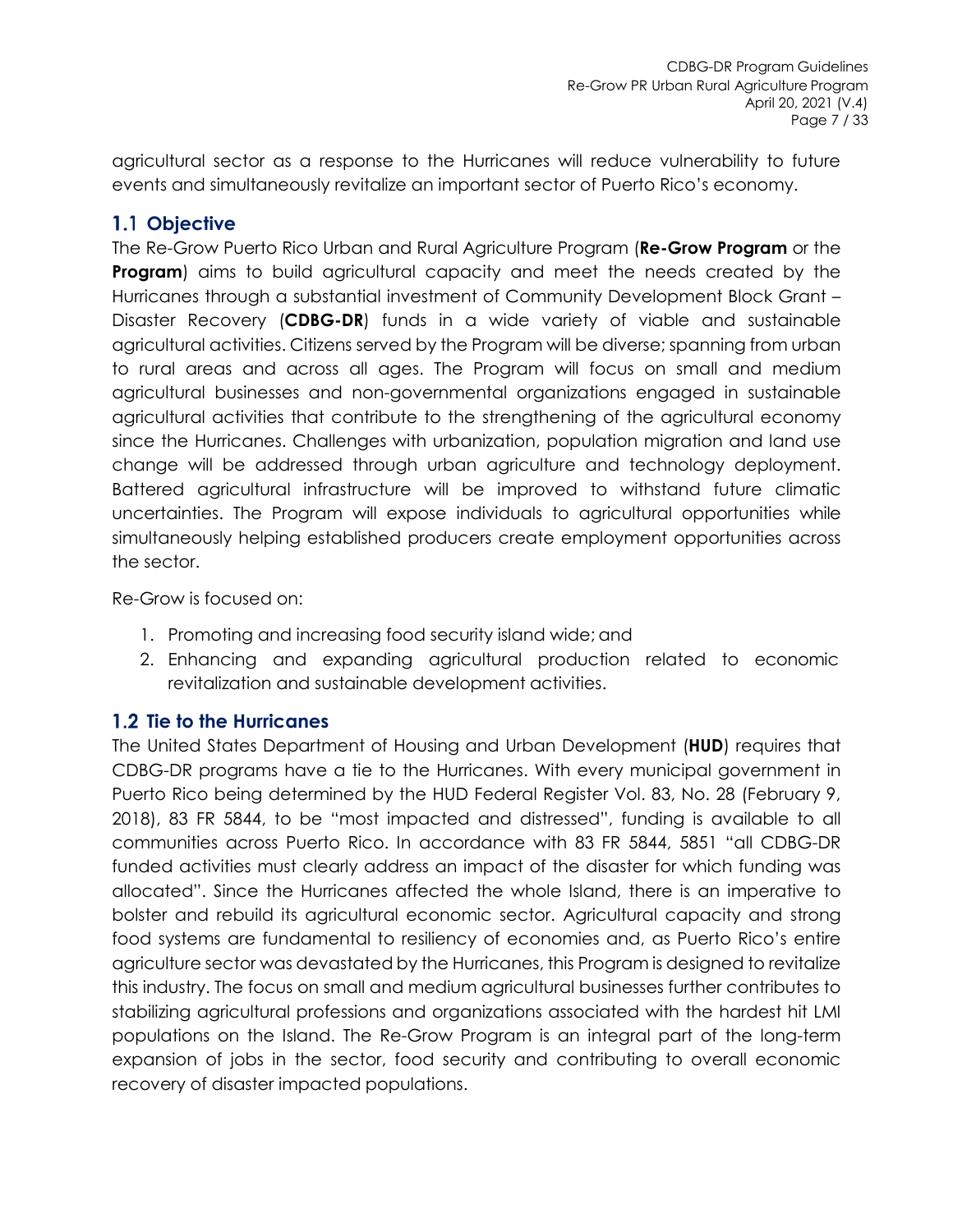agricultural sector as a response to the Hurricanes will reduce vulnerability to future events and simultaneously revitalize an important sector of Puerto Rico's economy.

# <span id="page-6-0"></span>1.1 Objective

The Re-Grow Puerto Rico Urban and Rural Agriculture Program (**Re-Grow Program** or the **Program**) aims to build agricultural capacity and meet the needs created by the Hurricanes through a substantial investment of Community Development Block Grant – Disaster Recovery (**CDBG-DR**) funds in a wide variety of viable and sustainable agricultural activities. Citizens served by the Program will be diverse; spanning from urban to rural areas and across all ages. The Program will focus on small and medium agricultural businesses and non-governmental organizations engaged in sustainable agricultural activities that contribute to the strengthening of the agricultural economy since the Hurricanes. Challenges with urbanization, population migration and land use change will be addressed through urban agriculture and technology deployment. Battered agricultural infrastructure will be improved to withstand future climatic uncertainties. The Program will expose individuals to agricultural opportunities while simultaneously helping established producers create employment opportunities across the sector.

Re-Grow is focused on:

- 1. Promoting and increasing food security island wide; and
- 2. Enhancing and expanding agricultural production related to economic revitalization and sustainable development activities.

# <span id="page-6-1"></span>**Tie to the Hurricanes**

The United States Department of Housing and Urban Development (**HUD**) requires that CDBG-DR programs have a tie to the Hurricanes. With every municipal government in Puerto Rico being determined by the HUD Federal Register Vol. 83, No. 28 (February 9, 2018), 83 FR 5844, to be "most impacted and distressed", funding is available to all communities across Puerto Rico. In accordance with 83 FR 5844, 5851 "all CDBG-DR funded activities must clearly address an impact of the disaster for which funding was allocated". Since the Hurricanes affected the whole Island, there is an imperative to bolster and rebuild its agricultural economic sector. Agricultural capacity and strong food systems are fundamental to resiliency of economies and, as Puerto Rico's entire agriculture sector was devastated by the Hurricanes, this Program is designed to revitalize this industry. The focus on small and medium agricultural businesses further contributes to stabilizing agricultural professions and organizations associated with the hardest hit LMI populations on the Island. The Re-Grow Program is an integral part of the long-term expansion of jobs in the sector, food security and contributing to overall economic recovery of disaster impacted populations.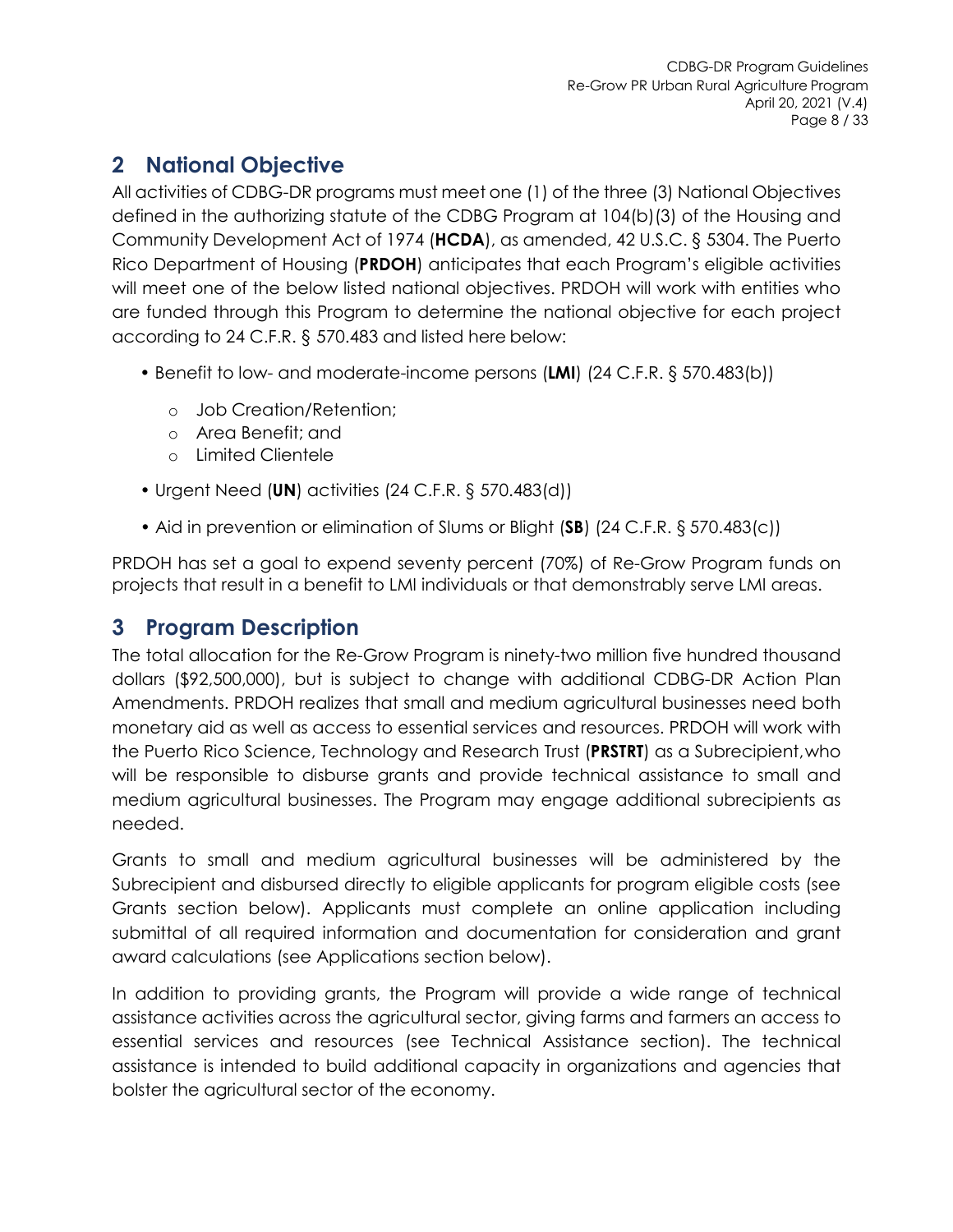# <span id="page-7-0"></span>**2 National Objective**

All activities of CDBG-DR programs must meet one (1) of the three (3) National Objectives defined in the authorizing statute of the CDBG Program at 104(b)(3) of the Housing and Community Development Act of 1974 (**HCDA**), as amended, 42 U.S.C. § 5304. The Puerto Rico Department of Housing (**PRDOH**) anticipates that each Program's eligible activities will meet one of the below listed national objectives. PRDOH will work with entities who are funded through this Program to determine the national objective for each project according to 24 C.F.R. § 570.483 and listed here below:

- Benefit to low- and moderate-income persons (**LMI**) (24 C.F.R. § 570.483(b))
	- o Job Creation/Retention;
	- o Area Benefit; and
	- o Limited Clientele
- Urgent Need (**UN**) activities (24 C.F.R. § 570.483(d))
- Aid in prevention or elimination of Slums or Blight (**SB**) (24 C.F.R. § 570.483(c))

PRDOH has set a goal to expend seventy percent (70%) of Re-Grow Program funds on projects that result in a benefit to LMI individuals or that demonstrably serve LMI areas.

# <span id="page-7-1"></span>**3 Program Description**

The total allocation for the Re-Grow Program is ninety-two million five hundred thousand dollars (\$92,500,000), but is subject to change with additional CDBG-DR Action Plan Amendments. PRDOH realizes that small and medium agricultural businesses need both monetary aid as well as access to essential services and resources. PRDOH will work with the Puerto Rico Science, Technology and Research Trust (**PRSTRT**) as a Subrecipient,who will be responsible to disburse grants and provide technical assistance to small and medium agricultural businesses. The Program may engage additional subrecipients as needed.

Grants to small and medium agricultural businesses will be administered by the Subrecipient and disbursed directly to eligible applicants for program eligible costs (see Grants section below). Applicants must complete an online application including submittal of all required information and documentation for consideration and grant award calculations (see Applications section below).

In addition to providing grants, the Program will provide a wide range of technical assistance activities across the agricultural sector, giving farms and farmers an access to essential services and resources (see Technical Assistance section). The technical assistance is intended to build additional capacity in organizations and agencies that bolster the agricultural sector of the economy.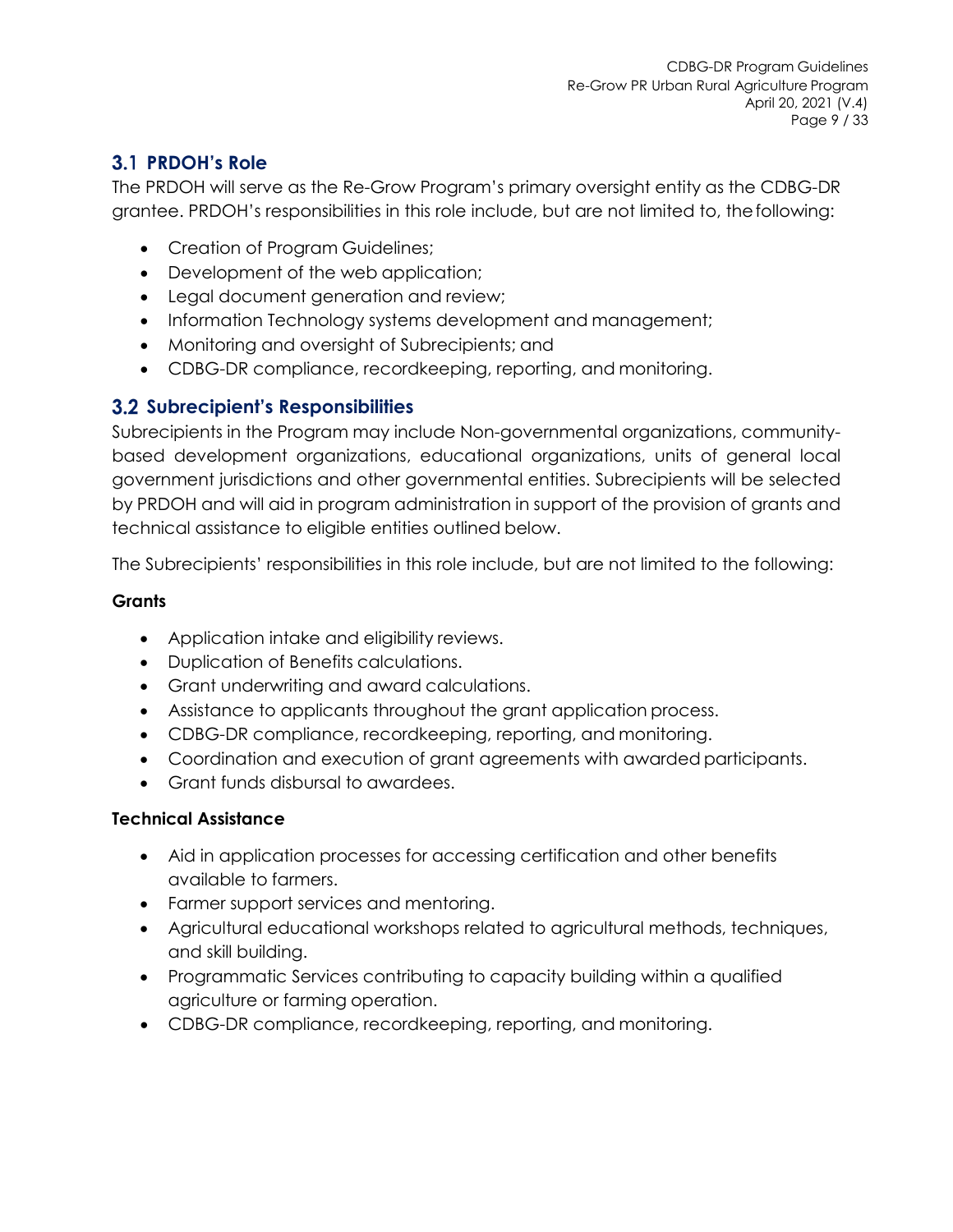# <span id="page-8-0"></span>**3.1 PRDOH's Role**

The PRDOH will serve as the Re-Grow Program's primary oversight entity as the CDBG-DR grantee. PRDOH's responsibilities in this role include, but are not limited to, thefollowing:

- Creation of Program Guidelines;
- Development of the web application;
- Legal document generation and review;
- Information Technology systems development and management;
- Monitoring and oversight of Subrecipients; and
- <span id="page-8-1"></span>• CDBG-DR compliance, recordkeeping, reporting, and monitoring.

# **Subrecipient's Responsibilities**

Subrecipients in the Program may include Non-governmental organizations, communitybased development organizations, educational organizations, units of general local government jurisdictions and other governmental entities. Subrecipients will be selected by PRDOH and will aid in program administration in support of the provision of grants and technical assistance to eligible entities outlined below.

The Subrecipients' responsibilities in this role include, but are not limited to the following:

# **Grants**

- Application intake and eligibility reviews.
- Duplication of Benefits calculations.
- Grant underwriting and award calculations.
- Assistance to applicants throughout the grant application process.
- CDBG-DR compliance, recordkeeping, reporting, and monitoring.
- Coordination and execution of grant agreements with awarded participants.
- Grant funds disbursal to awardees.

#### **Technical Assistance**

- Aid in application processes for accessing certification and other benefits available to farmers.
- Farmer support services and mentoring.
- Agricultural educational workshops related to agricultural methods, techniques, and skill building.
- Programmatic Services contributing to capacity building within a qualified agriculture or farming operation.
- CDBG-DR compliance, recordkeeping, reporting, and monitoring.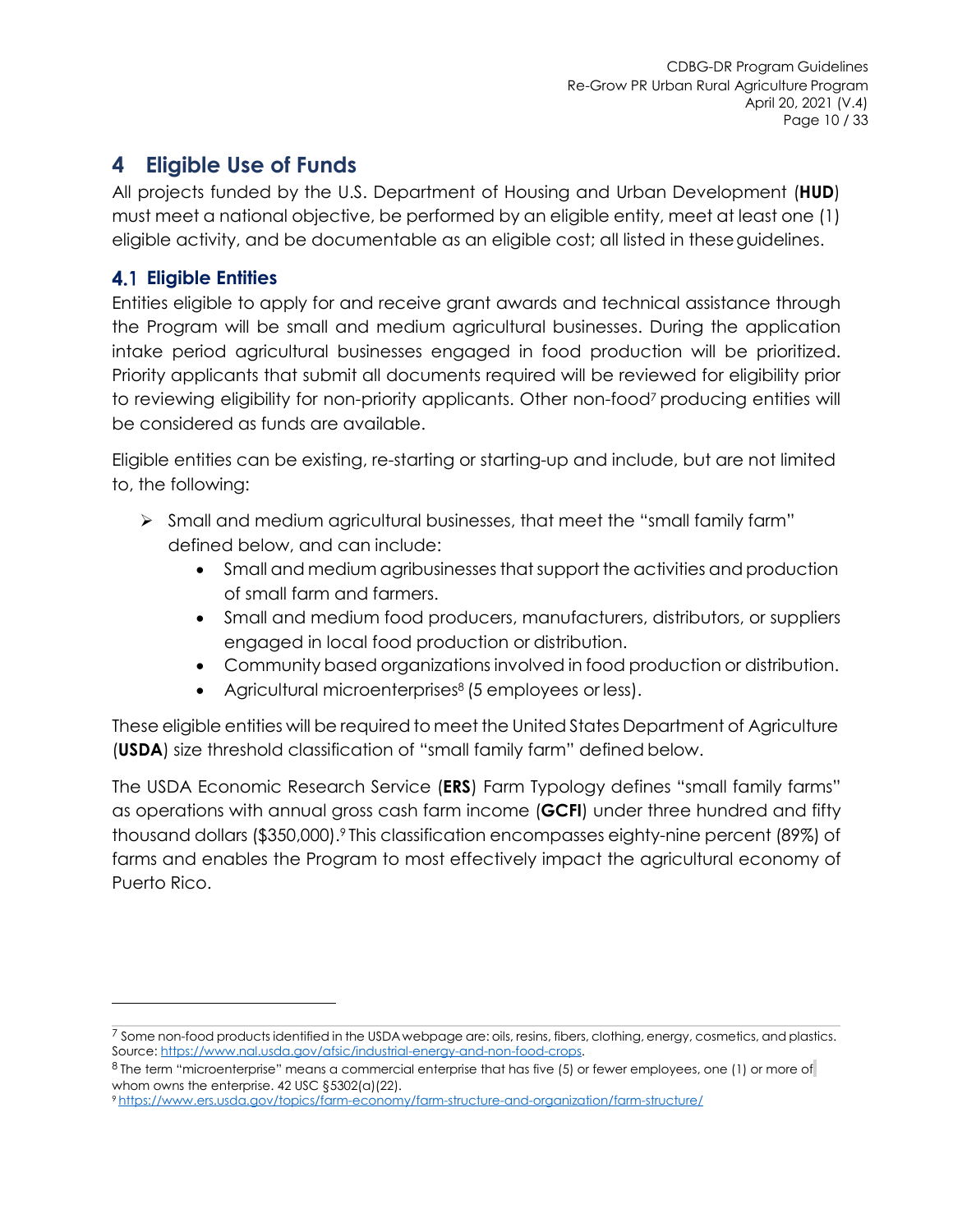# <span id="page-9-0"></span>**4 Eligible Use of Funds**

All projects funded by the U.S. Department of Housing and Urban Development (**HUD**) must meet a national objective, be performed by an eligible entity, meet at least one (1) eligible activity, and be documentable as an eligible cost; all listed in theseguidelines.

# <span id="page-9-1"></span>**Eligible Entities**

Entities eligible to apply for and receive grant awards and technical assistance through the Program will be small and medium agricultural businesses. During the application intake period agricultural businesses engaged in food production will be prioritized. Priority applicants that submit all documents required will be reviewed for eligibility prior to reviewing eligibility for non-priority applicants. Other non-food<sup>7</sup> producing entities will be considered as funds are available.

Eligible entities can be existing, re-starting or starting-up and include, but are not limited to, the following:

- Small and medium agricultural businesses, that meet the "small family farm" defined below, and can include:
	- Small and medium agribusinesses that support the activities and production of small farm and farmers.
	- Small and medium food producers, manufacturers, distributors, or suppliers engaged in local food production or distribution.
	- Community based organizations involved in food production or distribution.
	- Agricultural microenterprises<sup>8</sup> (5 employees or less).

These eligible entities will be required to meet the United States Department of Agriculture (**USDA**) size threshold classification of "small family farm" defined below.

The USDA Economic Research Service (**ERS**) Farm Typology defines "small family farms" as operations with annual gross cash farm income (**GCFI**) under three hundred and fifty thousand dollars (\$350,000).<sup>9</sup> This classification encompasses eighty-nine percent (89%) of farms and enables the Program to most effectively impact the agricultural economy of Puerto Rico.

<span id="page-9-3"></span><span id="page-9-2"></span>Source[: https://www.nal.usda.gov/afsic/industrial-energy-and-non-food-crops.](https://www.nal.usda.gov/afsic/industrial-energy-and-non-food-crops) <sup>7</sup> Some non-food products identified in the USDAwebpage are: oils, resins, fibers, clothing, energy, cosmetics, and plastics.

<sup>8</sup> The term "microenterprise" means a commercial enterprise that has five (5) or fewer employees, one (1) or more of whom owns the enterprise. 42 USC §5302(a)(22).

<span id="page-9-4"></span>[<sup>9</sup> https://www.ers.usda.gov/topics/farm-economy/farm-structure-and-organization/farm-structure/](https://www.ers.usda.gov/topics/farm-economy/farm-structure-and-organization/farm-structure/)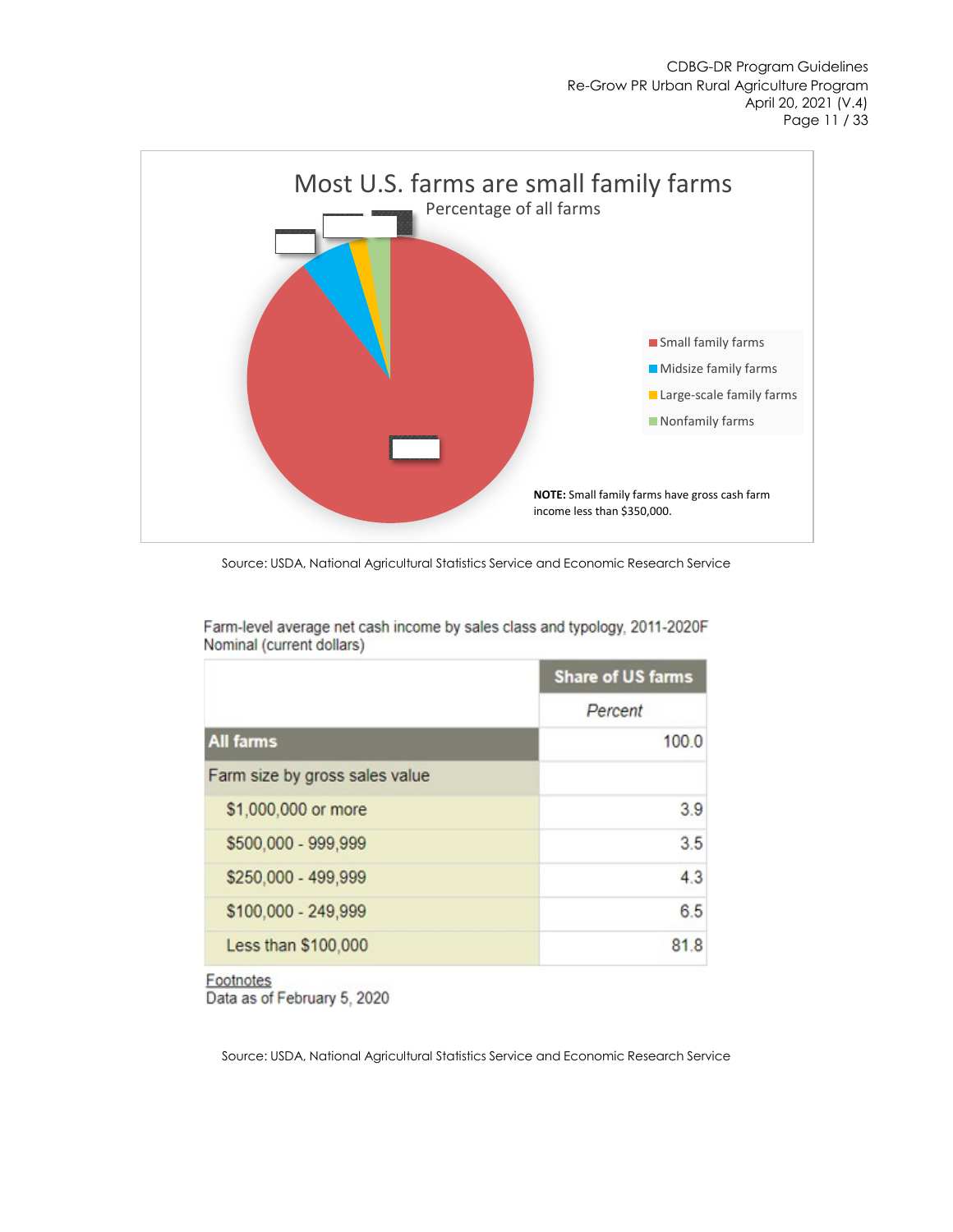CDBG-DR Program Guidelines Re-Grow PR Urban Rural Agriculture Program April 20, 2021 (V.4) Page 11 / 33



Source: USDA, National Agricultural Statistics Service and Economic Research Service

|                                | <b>Share of US farms</b> |
|--------------------------------|--------------------------|
|                                | Percent                  |
| <b>All farms</b>               | 100.0                    |
| Farm size by gross sales value |                          |
| \$1,000,000 or more            | 3.9                      |
| \$500,000 - 999,999            | 3.5                      |
| \$250,000 - 499,999            | 4.3                      |
| \$100,000 - 249,999            | 6.5                      |
| Less than \$100,000            | 81.8                     |

Farm-level average net cash income by sales class and typology, 2011-2020F Nominal (current dollars)

Footnotes

Data as of February 5, 2020

Source: USDA, National Agricultural Statistics Service and Economic Research Service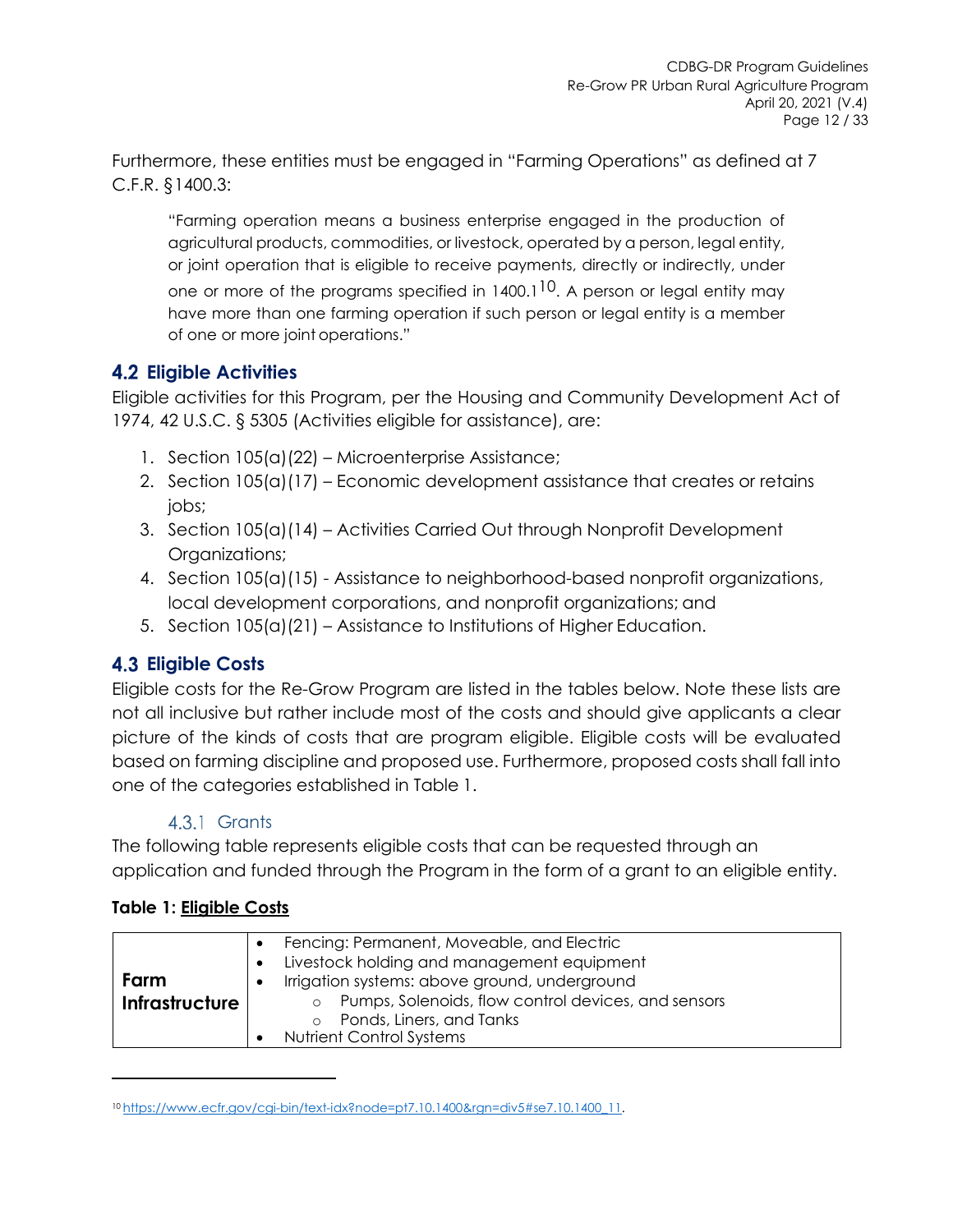Furthermore, these entities must be engaged in "Farming Operations" as defined at 7 C.F.R. §1400.3:

"Farming operation means a business enterprise engaged in the production of agricultural products, commodities, or livestock, operated by a person, legal entity, or joint operation that is eligible to receive payments, directly or indirectly, under one or more of the programs specified in  $1400.1^{10}$ . A person or legal entity may have more than one farming operation if such person or legal entity is a member of one or more joint operations."

# <span id="page-11-0"></span>**Eligible Activities**

Eligible activities for this Program, per the Housing and Community Development Act of 1974, 42 U.S.C. § 5305 (Activities eligible for assistance), are:

- 1. Section 105(a)(22) Microenterprise Assistance;
- 2. Section 105(a)(17) Economic development assistance that creates or retains jobs;
- 3. Section 105(a)(14) Activities Carried Out through Nonprofit Development Organizations;
- 4. Section 105(a)(15) Assistance to neighborhood-based nonprofit organizations, local development corporations, and nonprofit organizations; and
- <span id="page-11-1"></span>5. Section 105(a)(21) – Assistance to Institutions of Higher Education.

# **Eligible Costs**

Eligible costs for the Re-Grow Program are listed in the tables below. Note these lists are not all inclusive but rather include most of the costs and should give applicants a clear picture of the kinds of costs that are program eligible. Eligible costs will be evaluated based on farming discipline and proposed use. Furthermore, proposed costs shall fall into one of the categories established in Table 1.

# <span id="page-11-2"></span>4.3.1 Grants

The following table represents eligible costs that can be requested through an application and funded through the Program in the form of a grant to an eligible entity.

#### **Table 1: Eligible Costs**

|                       | Fencing: Permanent, Moveable, and Electric            |  |
|-----------------------|-------------------------------------------------------|--|
|                       | Livestock holding and management equipment            |  |
| Farm                  | Irrigation systems: above ground, underground         |  |
| <b>Infrastructure</b> | o Pumps, Solenoids, flow control devices, and sensors |  |
|                       | Ponds, Liners, and Tanks<br>$\cap$                    |  |
|                       | <b>Nutrient Control Systems</b>                       |  |

<span id="page-11-3"></span><sup>1</sup>[0 https://www.ecfr.gov/cgi-bin/text-idx?node=pt7.10.1400&rgn=div5#se7.10.1400\\_11.](https://www.ecfr.gov/cgi-bin/text-idx?node=pt7.10.1400&rgn=div5&se7.10.1400_11)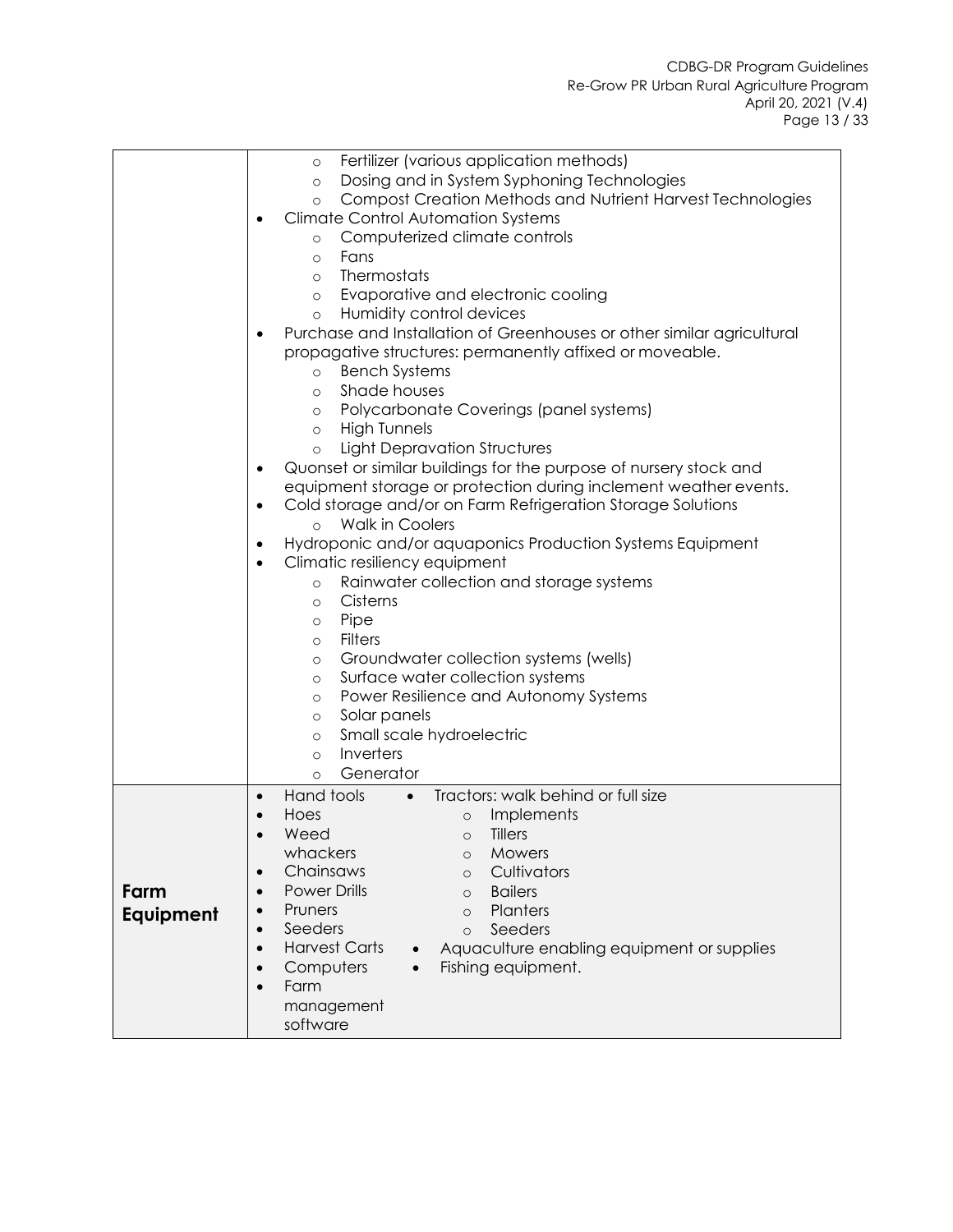|                   | Fertilizer (various application methods)<br>$\circ$<br>Dosing and in System Syphoning Technologies<br>$\circ$<br>Compost Creation Methods and Nutrient Harvest Technologies<br>$\circ$<br><b>Climate Control Automation Systems</b><br>Computerized climate controls<br>$\circ$<br>Fans<br>$\circ$<br>Thermostats<br>$\circ$<br>Evaporative and electronic cooling<br>$\circ$<br>Humidity control devices<br>$\circ$<br>Purchase and Installation of Greenhouses or other similar agricultural<br>propagative structures: permanently affixed or moveable.<br><b>Bench Systems</b><br>$\circ$<br>Shade houses<br>$\circ$<br>Polycarbonate Coverings (panel systems)<br>$\circ$<br><b>High Tunnels</b><br>$\circ$<br><b>Light Depravation Structures</b><br>$\circ$<br>Quonset or similar buildings for the purpose of nursery stock and<br>$\bullet$<br>equipment storage or protection during inclement weather events.<br>Cold storage and/or on Farm Refrigeration Storage Solutions<br>$\bullet$<br><b>Walk in Coolers</b><br>$\circ$<br>Hydroponic and/or aquaponics Production Systems Equipment<br>$\bullet$<br>Climatic resiliency equipment<br>$\bullet$<br>Rainwater collection and storage systems<br>$\circ$<br>Cisterns<br>$\circ$<br>Pipe<br>$\circ$<br><b>Filters</b><br>$\circ$<br>Groundwater collection systems (wells)<br>$\circ$<br>Surface water collection systems<br>$\circ$<br>Power Resilience and Autonomy Systems<br>$\circ$<br>Solar panels<br>$\circ$<br>Small scale hydroelectric<br>$\circ$<br>Inverters<br>$\circ$<br>Generator<br>$\circ$ |
|-------------------|----------------------------------------------------------------------------------------------------------------------------------------------------------------------------------------------------------------------------------------------------------------------------------------------------------------------------------------------------------------------------------------------------------------------------------------------------------------------------------------------------------------------------------------------------------------------------------------------------------------------------------------------------------------------------------------------------------------------------------------------------------------------------------------------------------------------------------------------------------------------------------------------------------------------------------------------------------------------------------------------------------------------------------------------------------------------------------------------------------------------------------------------------------------------------------------------------------------------------------------------------------------------------------------------------------------------------------------------------------------------------------------------------------------------------------------------------------------------------------------------------------------------------------------------------------------------------|
| Farm<br>Equipment | Tractors: walk behind or full size<br>Hand tools<br>$\bullet$<br>Hoes<br>Implements<br>$\circ$<br>Weed<br>Tillers<br>$\circ$<br>whackers<br>Mowers<br>$\circ$<br>Chainsaws<br>Cultivators<br>$\bullet$<br>$\circ$<br><b>Power Drills</b><br><b>Bailers</b><br>$\bullet$<br>$\circ$<br>Pruners<br>Planters<br>$\circ$<br>Seeders<br>Seeders<br>$\bullet$<br>$\circ$<br><b>Harvest Carts</b><br>Aquaculture enabling equipment or supplies<br>$\bullet$<br>Computers<br>Fishing equipment.<br>$\bullet$<br>Farm<br>$\bullet$<br>management<br>software                                                                                                                                                                                                                                                                                                                                                                                                                                                                                                                                                                                                                                                                                                                                                                                                                                                                                                                                                                                                                       |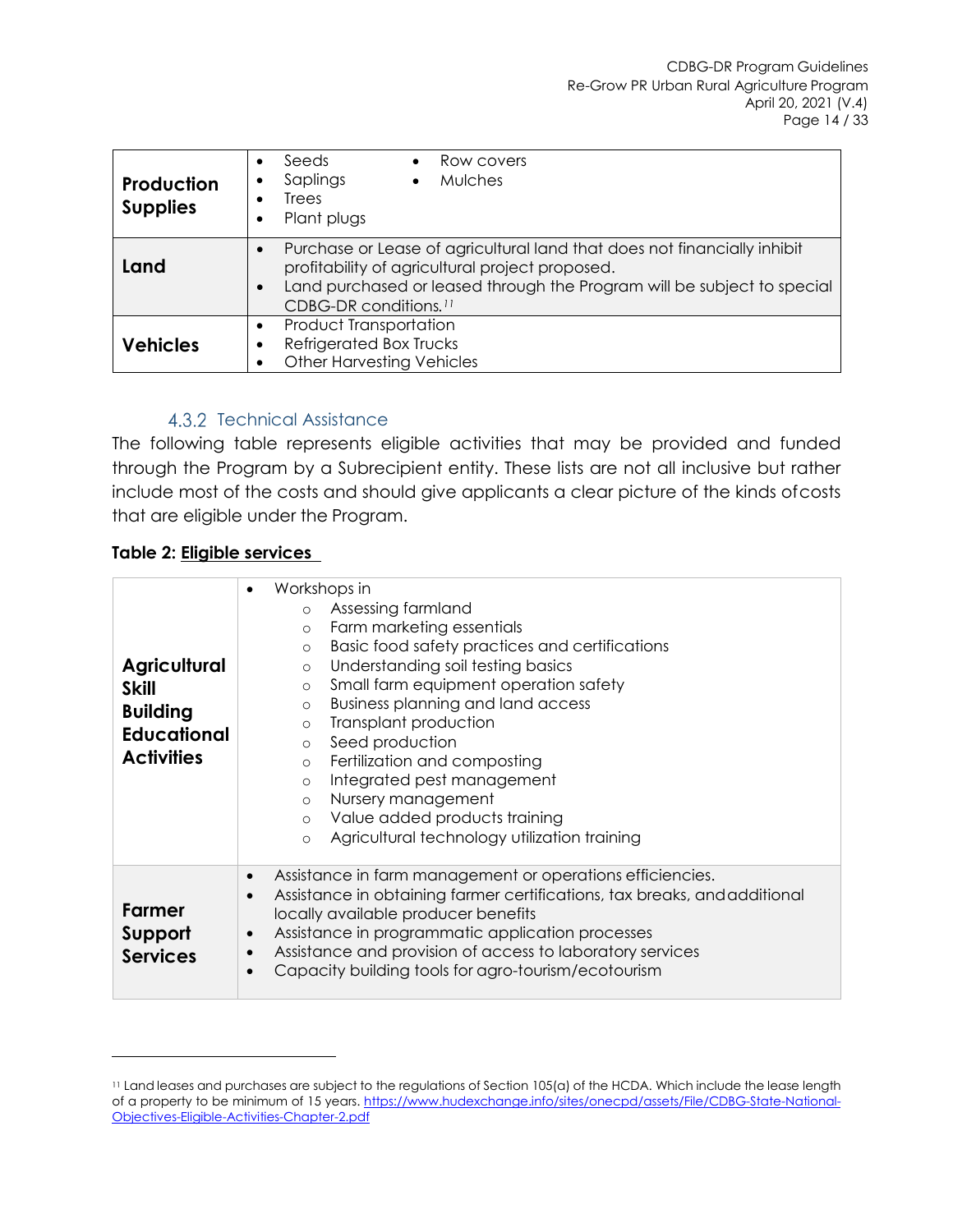| <b>Production</b><br><b>Supplies</b> | Seeds<br>Row covers<br>Saplings<br><b>Mulches</b><br>$\bullet$<br>Trees<br>Plant plugs                                                                                                                                                      |  |
|--------------------------------------|---------------------------------------------------------------------------------------------------------------------------------------------------------------------------------------------------------------------------------------------|--|
| Land                                 | Purchase or Lease of agricultural land that does not financially inhibit<br>profitability of agricultural project proposed.<br>Land purchased or leased through the Program will be subject to special<br>CDBG-DR conditions. <sup>11</sup> |  |
| <b>Vehicles</b>                      | <b>Product Transportation</b><br>$\bullet$<br>Refrigerated Box Trucks<br>٠<br><b>Other Harvesting Vehicles</b>                                                                                                                              |  |

# <span id="page-13-0"></span>4.3.2 Technical Assistance

The following table represents eligible activities that may be provided and funded through the Program by a Subrecipient entity. These lists are not all inclusive but rather include most of the costs and should give applicants a clear picture of the kinds ofcosts that are eligible under the Program.

#### **Table 2: Eligible services**

| <b>Agricultural</b><br><b>Skill</b><br><b>Building</b><br><b>Educational</b><br><b>Activities</b> | Workshops in<br>٠<br>Assessing farmland<br>$\circ$<br>Farm marketing essentials<br>$\circ$<br>Basic food safety practices and certifications<br>$\circ$<br>Understanding soil testing basics<br>$\circ$<br>Small farm equipment operation safety<br>$\circ$<br><b>Business planning and land access</b><br>$\circ$<br>Transplant production<br>$\circ$<br>Seed production<br>$\circ$<br>Fertilization and composting<br>$\circ$<br>Integrated pest management<br>$\circ$<br>Nursery management<br>$\circ$<br>Value added products training<br>$\circ$ |  |
|---------------------------------------------------------------------------------------------------|-------------------------------------------------------------------------------------------------------------------------------------------------------------------------------------------------------------------------------------------------------------------------------------------------------------------------------------------------------------------------------------------------------------------------------------------------------------------------------------------------------------------------------------------------------|--|
|                                                                                                   | Agricultural technology utilization training<br>$\Omega$                                                                                                                                                                                                                                                                                                                                                                                                                                                                                              |  |
| Farmer<br>Support<br><b>Services</b>                                                              | Assistance in farm management or operations efficiencies.<br>$\bullet$<br>Assistance in obtaining farmer certifications, tax breaks, and additional<br>$\bullet$<br>locally available producer benefits<br>Assistance in programmatic application processes<br>$\bullet$<br>Assistance and provision of access to laboratory services<br>$\bullet$<br>Capacity building tools for agro-tourism/ecotourism                                                                                                                                             |  |

<span id="page-13-1"></span><sup>11</sup> Land leases and purchases are subject to the regulations of Section 105(a) of the HCDA. Which include the lease length of a property to be minimum of 15 years. [https://www.hudexchange.info/sites/onecpd/assets/File/CDBG-State-National-](https://www.hudexchange.info/sites/onecpd/assets/File/CDBG-State-National-Objectives-Eligible-Activities-Chapter-2.pdf)[Objectives-Eligible-Activities-Chapter-2.pdf](https://www.hudexchange.info/sites/onecpd/assets/File/CDBG-State-National-Objectives-Eligible-Activities-Chapter-2.pdf)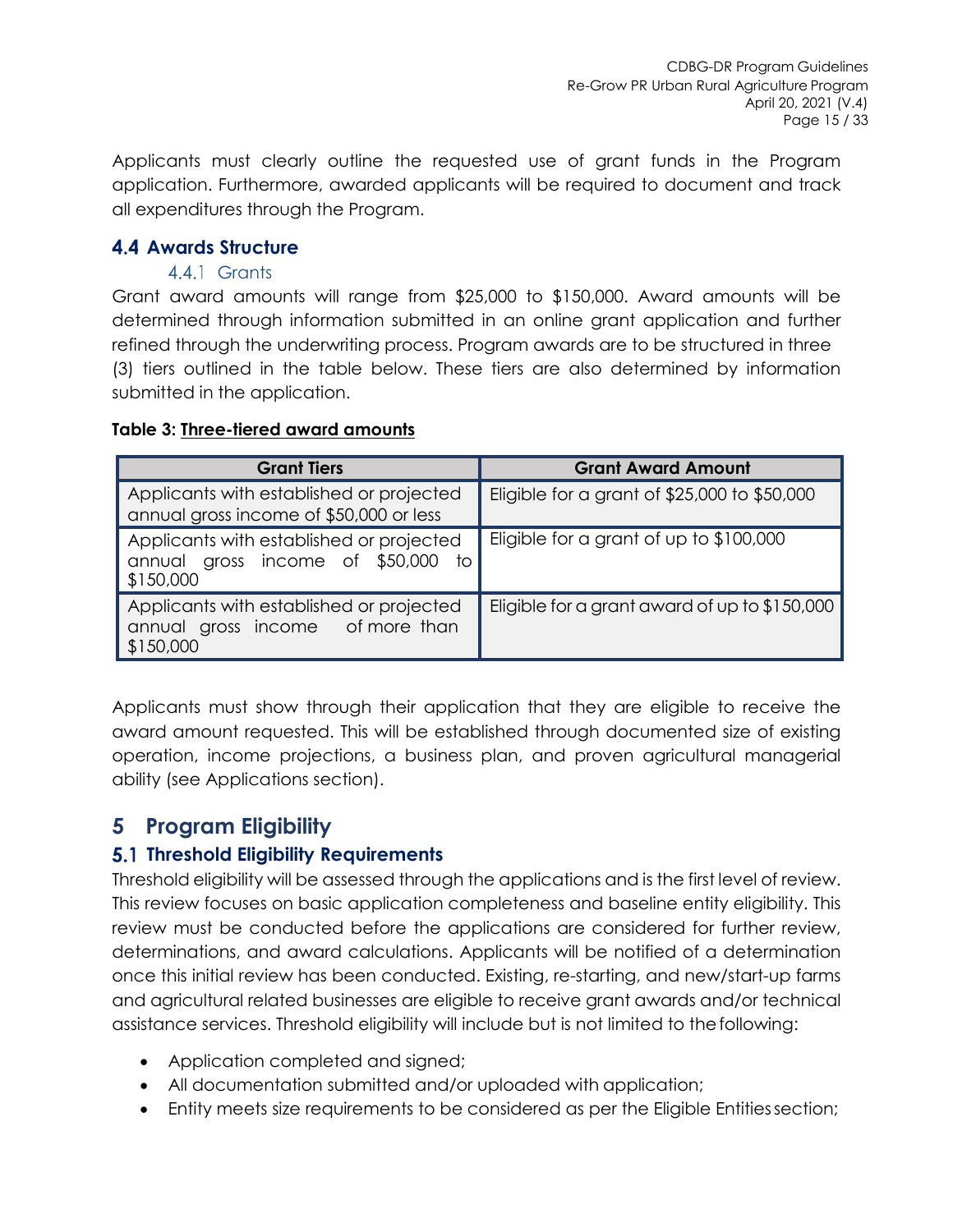Applicants must clearly outline the requested use of grant funds in the Program application. Furthermore, awarded applicants will be required to document and track all expenditures through the Program.

# <span id="page-14-0"></span>**4.4 Awards Structure**

#### <span id="page-14-1"></span>4.4.1 Grants

Grant award amounts will range from \$25,000 to \$150,000. Award amounts will be determined through information submitted in an online grant application and further refined through the underwriting process. Program awards are to be structured in three (3) tiers outlined in the table below. These tiers are also determined by information submitted in the application.

#### **Table 3: Three-tiered award amounts**

| <b>Grant Tiers</b>                                                                             | <b>Grant Award Amount</b>                     |
|------------------------------------------------------------------------------------------------|-----------------------------------------------|
| Applicants with established or projected<br>annual gross income of \$50,000 or less            | Eligible for a grant of \$25,000 to \$50,000  |
| Applicants with established or projected<br>annual gross income of \$50,000<br>to<br>\$150,000 | Eligible for a grant of up to \$100,000       |
| Applicants with established or projected<br>annual gross income of more than<br>\$150,000      | Eligible for a grant award of up to \$150,000 |

Applicants must show through their application that they are eligible to receive the award amount requested. This will be established through documented size of existing operation, income projections, a business plan, and proven agricultural managerial ability (see Applications section).

# <span id="page-14-2"></span>**5 Program Eligibility**

# <span id="page-14-3"></span>**Threshold Eligibility Requirements**

Threshold eligibility will be assessed through the applications and is the first level of review. This review focuses on basic application completeness and baseline entity eligibility. This review must be conducted before the applications are considered for further review, determinations, and award calculations. Applicants will be notified of a determination once this initial review has been conducted. Existing, re-starting, and new/start-up farms and agricultural related businesses are eligible to receive grant awards and/or technical assistance services. Threshold eligibility will include but is not limited to thefollowing:

- Application completed and signed;
- All documentation submitted and/or uploaded with application;
- Entity meets size requirements to be considered as per the Eligible Entitiessection;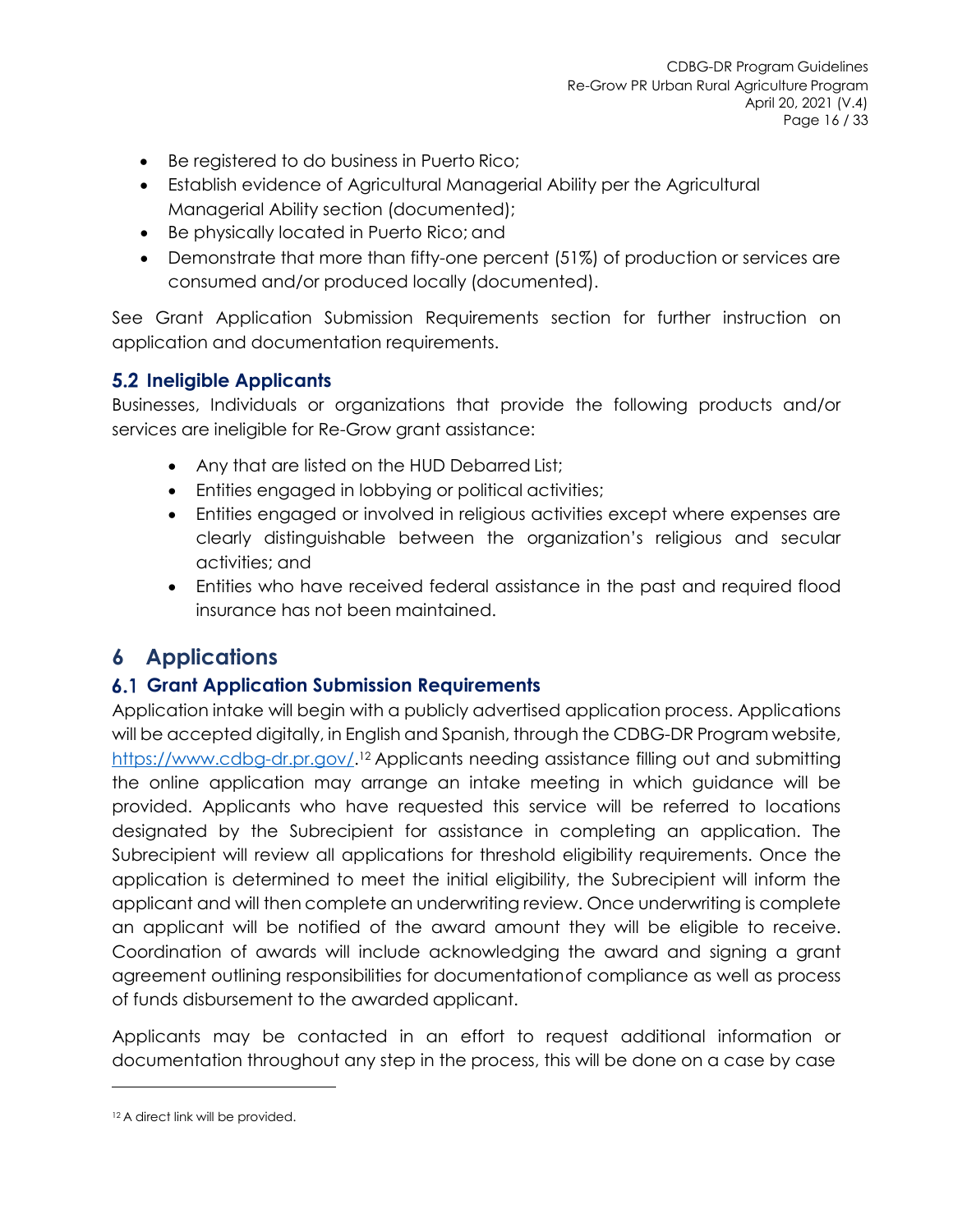- Be registered to do business in Puerto Rico;
- Establish evidence of Agricultural Managerial Ability per the Agricultural Managerial Ability section (documented);
- Be physically located in Puerto Rico; and
- Demonstrate that more than fifty-one percent (51%) of production or services are consumed and/or produced locally (documented).

See Grant Application Submission Requirements section for further instruction on application and documentation requirements.

#### <span id="page-15-0"></span>**Ineligible Applicants**

Businesses, Individuals or organizations that provide the following products and/or services are ineligible for Re-Grow grant assistance:

- Any that are listed on the HUD Debarred List;
- Entities engaged in lobbying or political activities;
- Entities engaged or involved in religious activities except where expenses are clearly distinguishable between the organization's religious and secular activities; and
- Entities who have received federal assistance in the past and required flood insurance has not been maintained.

# <span id="page-15-1"></span>**6 Applications**

#### <span id="page-15-2"></span>**Grant Application Submission Requirements**

Application intake will begin with a publicly advertised application process. Applications will be accepted digitally, in English and Spanish, through the CDBG-DR Program website, <https://www.cdbg-dr.pr.gov/>[.12](#page-15-3) Applicants needing assistance filling out and submitting the online application may arrange an intake meeting in which guidance will be provided. Applicants who have requested this service will be referred to locations designated by the Subrecipient for assistance in completing an application. The Subrecipient will review all applications for threshold eligibility requirements. Once the application is determined to meet the initial eligibility, the Subrecipient will inform the applicant and will then complete an underwriting review. Once underwriting is complete an applicant will be notified of the award amount they will be eligible to receive. Coordination of awards will include acknowledging the award and signing a grant agreement outlining responsibilities for documentationof compliance as well as process of funds disbursement to the awarded applicant.

Applicants may be contacted in an effort to request additional information or documentation throughout any step in the process, this will be done on a case by case

<span id="page-15-3"></span><sup>12</sup> A direct link will be provided.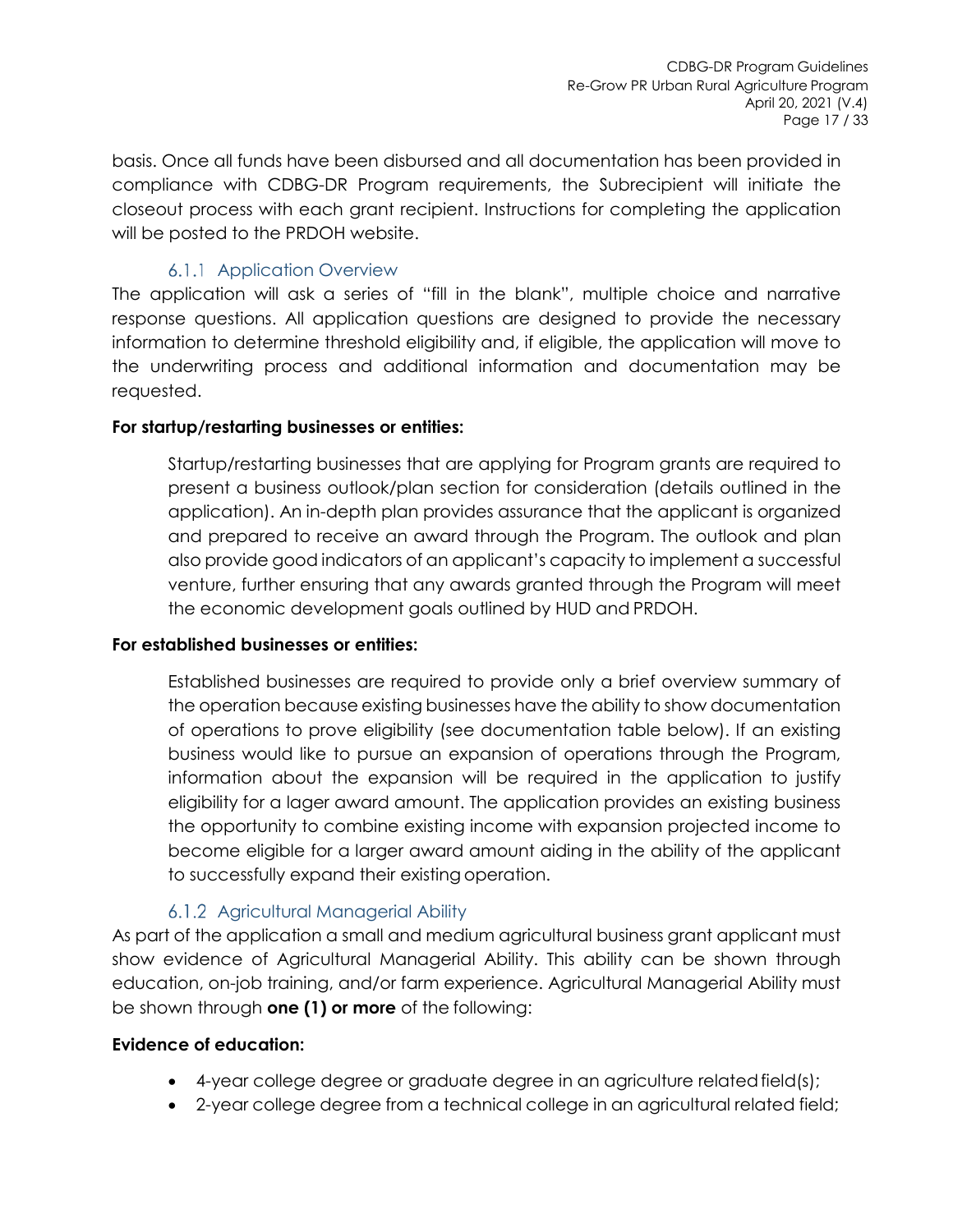basis. Once all funds have been disbursed and all documentation has been provided in compliance with CDBG-DR Program requirements, the Subrecipient will initiate the closeout process with each grant recipient. Instructions for completing the application will be posted to the PRDOH website.

# <span id="page-16-0"></span>6.1.1 Application Overview

The application will ask a series of "fill in the blank", multiple choice and narrative response questions. All application questions are designed to provide the necessary information to determine threshold eligibility and, if eligible, the application will move to the underwriting process and additional information and documentation may be requested.

#### **For startup/restarting businesses or entities:**

Startup/restarting businesses that are applying for Program grants are required to present a business outlook/plan section for consideration (details outlined in the application). An in-depth plan provides assurance that the applicant is organized and prepared to receive an award through the Program. The outlook and plan also provide good indicators of an applicant's capacity to implement a successful venture, further ensuring that any awards granted through the Program will meet the economic development goals outlined by HUD and PRDOH.

#### **For established businesses or entities:**

Established businesses are required to provide only a brief overview summary of the operation because existing businesses have the ability to show documentation of operations to prove eligibility (see documentation table below). If an existing business would like to pursue an expansion of operations through the Program, information about the expansion will be required in the application to justify eligibility for a lager award amount. The application provides an existing business the opportunity to combine existing income with expansion projected income to become eligible for a larger award amount aiding in the ability of the applicant to successfully expand their existing operation.

#### <span id="page-16-1"></span>Agricultural Managerial Ability

As part of the application a small and medium agricultural business grant applicant must show evidence of Agricultural Managerial Ability. This ability can be shown through education, on-job training, and/or farm experience. Agricultural Managerial Ability must be shown through **one (1) or more** of the following:

#### **Evidence of education:**

- 4-year college degree or graduate degree in an agriculture relatedfield(s);
- 2-year college degree from a technical college in an agricultural related field;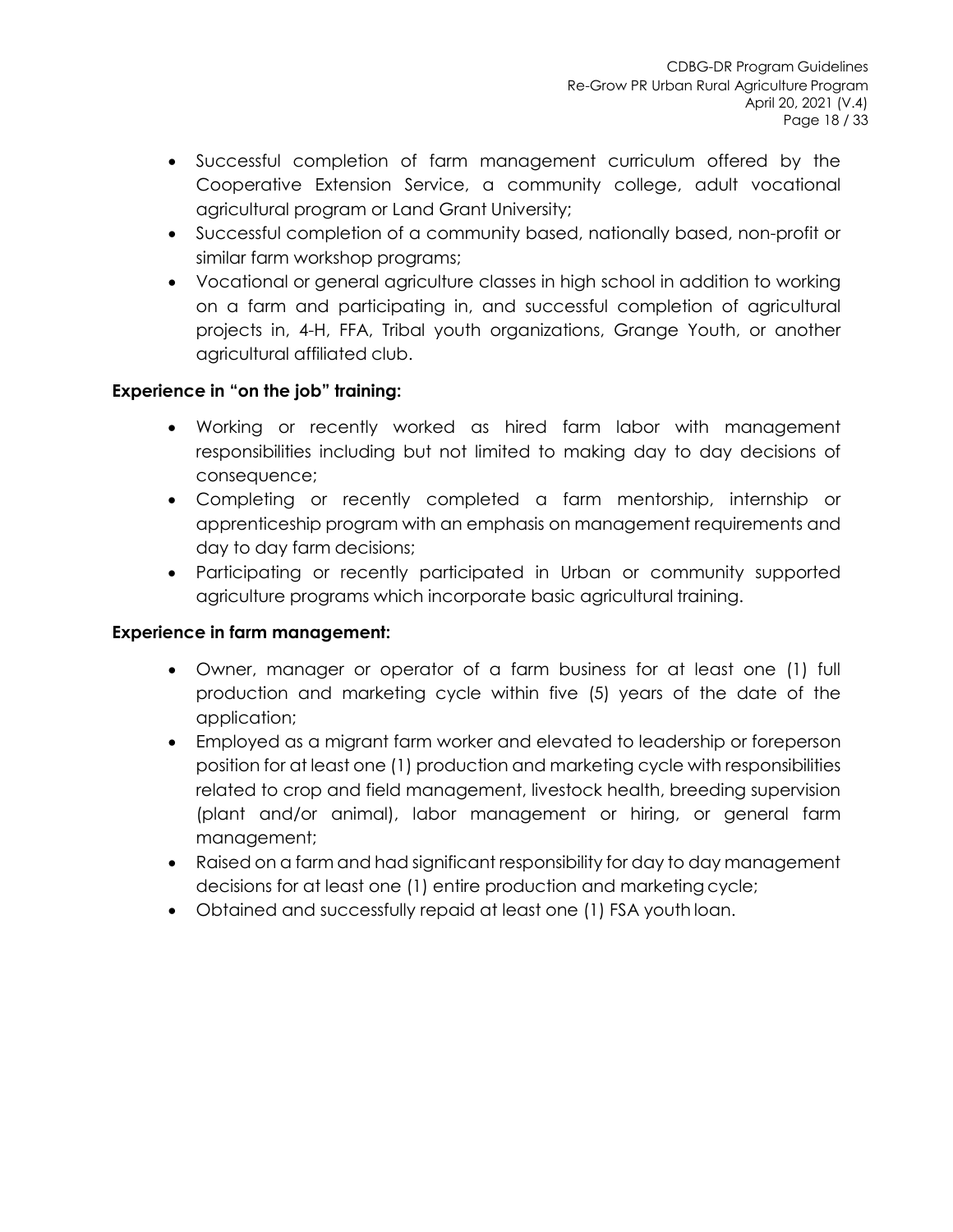- Successful completion of farm management curriculum offered by the Cooperative Extension Service, a community college, adult vocational agricultural program or Land Grant University;
- Successful completion of a community based, nationally based, non-profit or similar farm workshop programs;
- Vocational or general agriculture classes in high school in addition to working on a farm and participating in, and successful completion of agricultural projects in, 4-H, FFA, Tribal youth organizations, Grange Youth, or another agricultural affiliated club.

#### **Experience in "on the job" training:**

- Working or recently worked as hired farm labor with management responsibilities including but not limited to making day to day decisions of consequence;
- Completing or recently completed a farm mentorship, internship or apprenticeship program with an emphasis on management requirements and day to day farm decisions;
- Participating or recently participated in Urban or community supported agriculture programs which incorporate basic agricultural training.

#### **Experience in farm management:**

- Owner, manager or operator of a farm business for at least one (1) full production and marketing cycle within five (5) years of the date of the application;
- Employed as a migrant farm worker and elevated to leadership or foreperson position for at least one (1) production and marketing cycle with responsibilities related to crop and field management, livestock health, breeding supervision (plant and/or animal), labor management or hiring, or general farm management;
- Raised on a farm and had significant responsibility for day to day management decisions for at least one (1) entire production and marketing cycle;
- Obtained and successfully repaid at least one (1) FSA youth loan.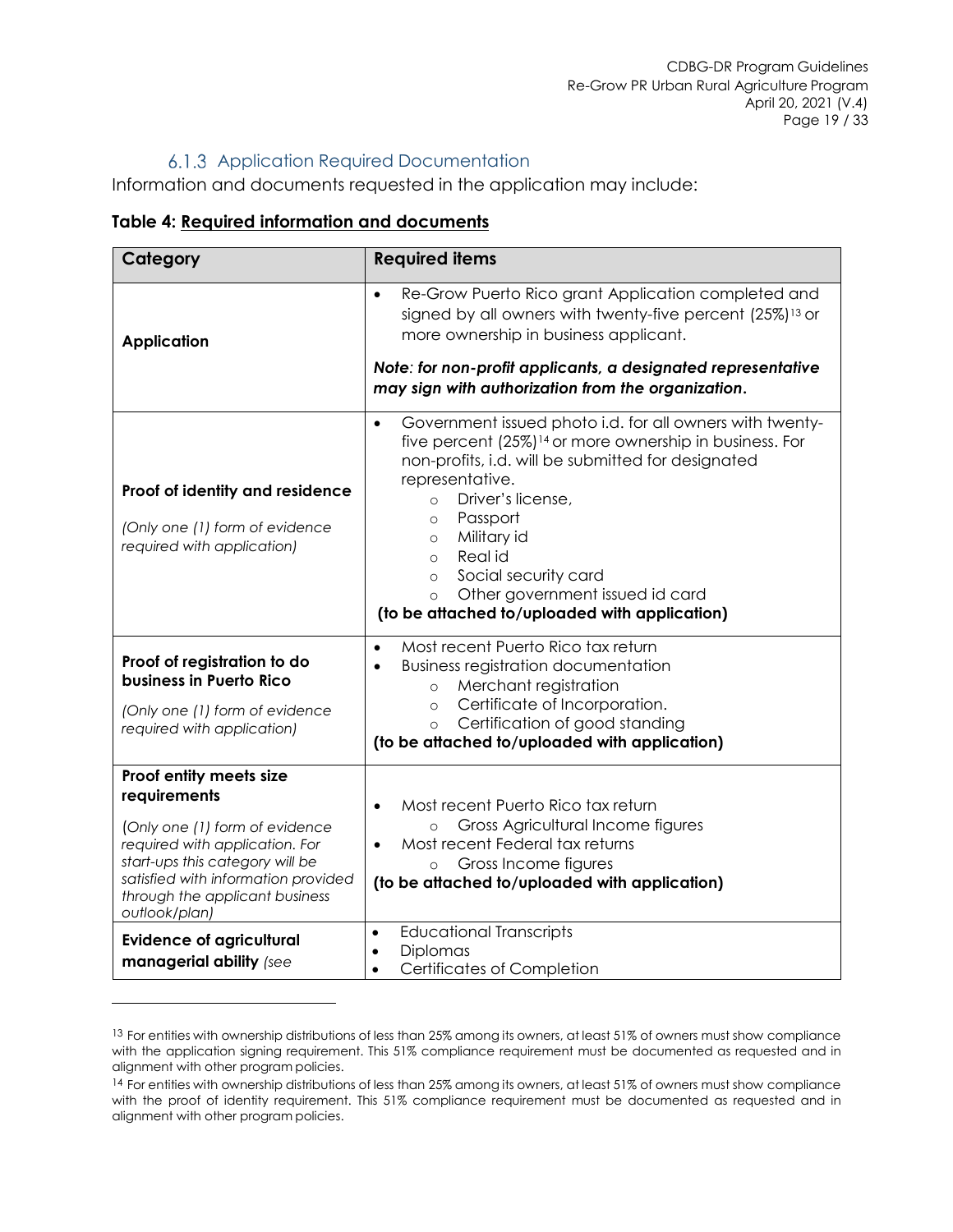#### <span id="page-18-0"></span>6.1.3 Application Required Documentation

Information and documents requested in the application may include:

| Category                                                                                                                                                                                                                                                                                               | <b>Required items</b>                                                                                                                                                                                                                                                                                                                                                                                                                                          |
|--------------------------------------------------------------------------------------------------------------------------------------------------------------------------------------------------------------------------------------------------------------------------------------------------------|----------------------------------------------------------------------------------------------------------------------------------------------------------------------------------------------------------------------------------------------------------------------------------------------------------------------------------------------------------------------------------------------------------------------------------------------------------------|
| <b>Application</b>                                                                                                                                                                                                                                                                                     | Re-Grow Puerto Rico grant Application completed and<br>$\bullet$<br>signed by all owners with twenty-five percent (25%) <sup>13</sup> or<br>more ownership in business applicant.<br>Note: for non-profit applicants, a designated representative<br>may sign with authorization from the organization.                                                                                                                                                        |
| Proof of identity and residence<br>(Only one (1) form of evidence<br>required with application)                                                                                                                                                                                                        | Government issued photo i.d. for all owners with twenty-<br>$\bullet$<br>five percent (25%) <sup>14</sup> or more ownership in business. For<br>non-profits, i.d. will be submitted for designated<br>representative.<br>Driver's license,<br>$\circ$<br>Passport<br>$\circ$<br>Military id<br>$\circ$<br>Real id<br>$\circ$<br>Social security card<br>$\circ$<br>Other government issued id card<br>$\circ$<br>(to be attached to/uploaded with application) |
| Proof of registration to do<br>business in Puerto Rico<br>(Only one (1) form of evidence<br>required with application)                                                                                                                                                                                 | Most recent Puerto Rico tax return<br>$\bullet$<br><b>Business registration documentation</b><br>$\bullet$<br>Merchant registration<br>$\circ$<br>Certificate of Incorporation.<br>$\circ$<br>Certification of good standing<br>$\circ$<br>(to be attached to/uploaded with application)                                                                                                                                                                       |
| Proof entity meets size<br>requirements<br>(Only one (1) form of evidence<br>required with application. For<br>start-ups this category will be<br>satisfied with information provided<br>through the applicant business<br>outlook/plan)<br><b>Evidence of agricultural</b><br>managerial ability (see | Most recent Puerto Rico tax return<br>$\bullet$<br>Gross Agricultural Income figures<br>$\circ$<br>Most recent Federal tax returns<br>Gross Income figures<br>$\circ$<br>(to be attached to/uploaded with application)<br><b>Educational Transcripts</b><br>$\bullet$<br>Diplomas<br>$\bullet$<br><b>Certificates of Completion</b>                                                                                                                            |

#### **Table 4: Required information and documents**

<span id="page-18-2"></span><span id="page-18-1"></span><sup>&</sup>lt;sup>13</sup> For entities with ownership distributions of less than 25% among its owners, at least 51% of owners must show compliance with the application signing requirement. This 51% compliance requirement must be documented as requested and in alignment with other program policies.

<sup>&</sup>lt;sup>14</sup> For entities with ownership distributions of less than 25% among its owners, at least 51% of owners must show compliance with the proof of identity requirement. This 51% compliance requirement must be documented as requested and in alignment with other program policies.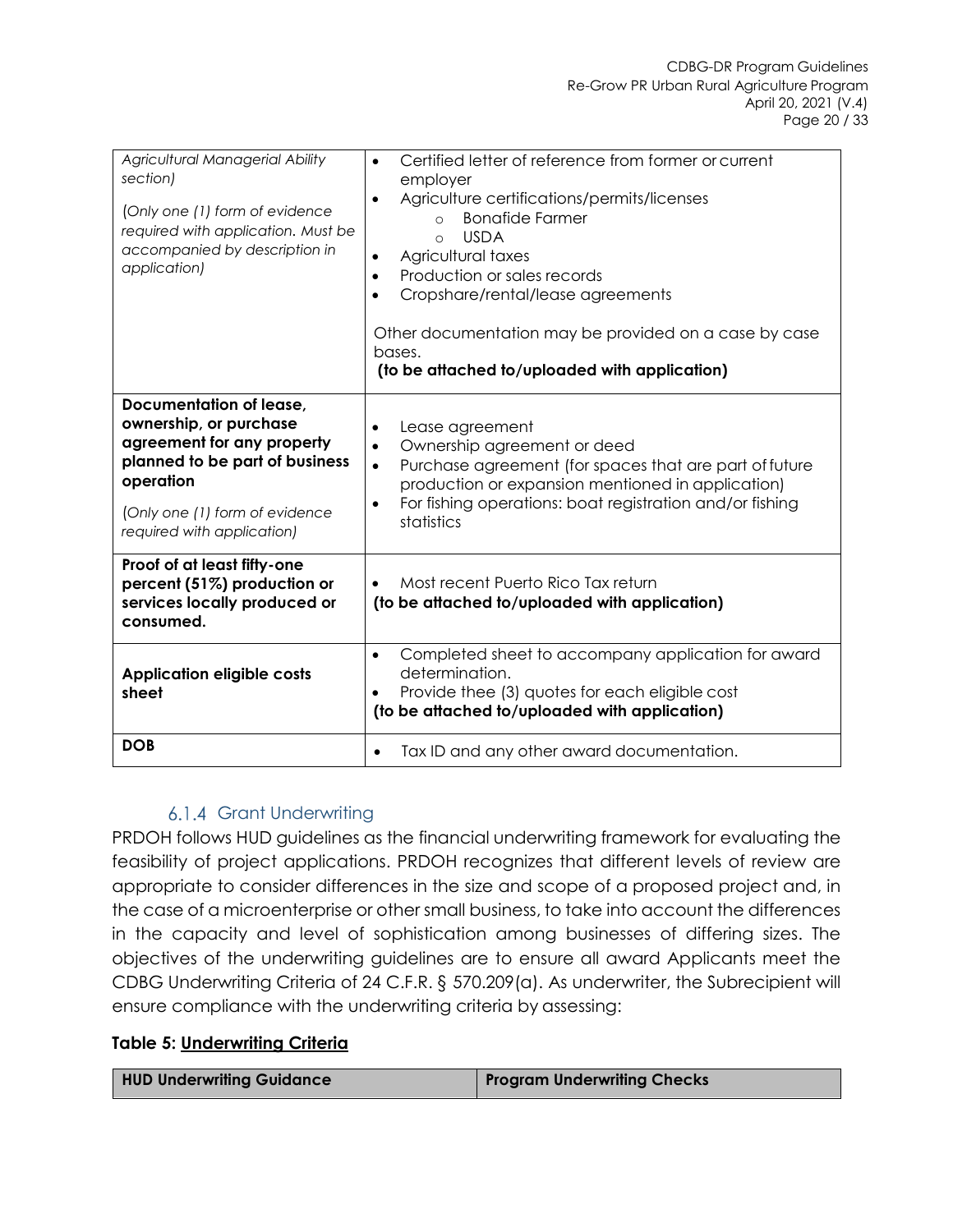| Agricultural Managerial Ability<br>section)<br>(Only one (1) form of evidence<br>required with application. Must be<br>accompanied by description in<br>application)                           | Certified letter of reference from former or current<br>$\bullet$<br>employer<br>Agriculture certifications/permits/licenses<br>$\bullet$<br><b>Bonafide Farmer</b><br>$\Omega$<br><b>USDA</b><br>$\circ$<br>Agricultural taxes<br>$\bullet$<br>Production or sales records<br>$\bullet$<br>Cropshare/rental/lease agreements<br>Other documentation may be provided on a case by case<br>bases.<br>(to be attached to/uploaded with application) |
|------------------------------------------------------------------------------------------------------------------------------------------------------------------------------------------------|---------------------------------------------------------------------------------------------------------------------------------------------------------------------------------------------------------------------------------------------------------------------------------------------------------------------------------------------------------------------------------------------------------------------------------------------------|
| Documentation of lease,<br>ownership, or purchase<br>agreement for any property<br>planned to be part of business<br>operation<br>(Only one (1) form of evidence<br>required with application) | Lease agreement<br>$\bullet$<br>Ownership agreement or deed<br>$\bullet$<br>Purchase agreement (for spaces that are part of future<br>$\bullet$<br>production or expansion mentioned in application)<br>For fishing operations: boat registration and/or fishing<br>$\bullet$<br>statistics                                                                                                                                                       |
| Proof of at least fifty-one<br>percent (51%) production or<br>services locally produced or<br>consumed.                                                                                        | Most recent Puerto Rico Tax return<br>$\bullet$<br>(to be attached to/uploaded with application)                                                                                                                                                                                                                                                                                                                                                  |
| <b>Application eligible costs</b><br>sheet                                                                                                                                                     | Completed sheet to accompany application for award<br>$\bullet$<br>determination.<br>Provide thee (3) quotes for each eligible cost<br>(to be attached to/uploaded with application)                                                                                                                                                                                                                                                              |
| <b>DOB</b>                                                                                                                                                                                     | Tax ID and any other award documentation.                                                                                                                                                                                                                                                                                                                                                                                                         |

#### <span id="page-19-0"></span>6.1.4 Grant Underwriting

PRDOH follows HUD guidelines as the financial underwriting framework for evaluating the feasibility of project applications. PRDOH recognizes that different levels of review are appropriate to consider differences in the size and scope of a proposed project and, in the case of a microenterprise or other small business, to take into account the differences in the capacity and level of sophistication among businesses of differing sizes. The objectives of the underwriting guidelines are to ensure all award Applicants meet the CDBG Underwriting Criteria of 24 C.F.R. § 570.209(a). As underwriter, the Subrecipient will ensure compliance with the underwriting criteria by assessing:

#### **Table 5: Underwriting Criteria**

| <b>HUD Underwriting Guidance</b> | <b>Program Underwriting Checks</b> |
|----------------------------------|------------------------------------|
|                                  |                                    |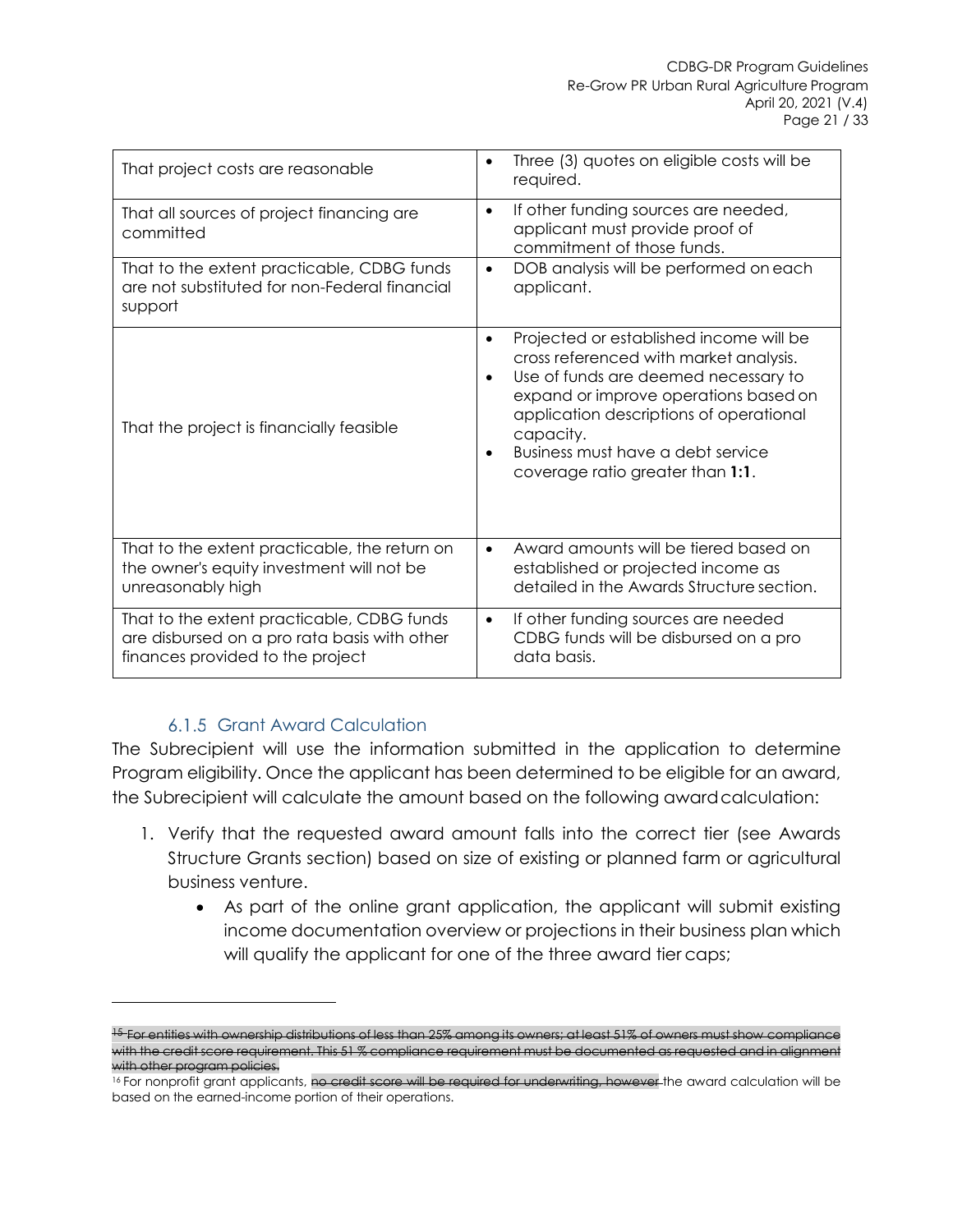| That project costs are reasonable                                                                                              | Three (3) quotes on eligible costs will be<br>$\bullet$<br>required.                                                                                                                                                                                                                                                          |
|--------------------------------------------------------------------------------------------------------------------------------|-------------------------------------------------------------------------------------------------------------------------------------------------------------------------------------------------------------------------------------------------------------------------------------------------------------------------------|
| That all sources of project financing are<br>committed                                                                         | If other funding sources are needed,<br>$\bullet$<br>applicant must provide proof of<br>commitment of those funds.                                                                                                                                                                                                            |
| That to the extent practicable, CDBG funds<br>are not substituted for non-Federal financial<br>support                         | DOB analysis will be performed on each<br>$\bullet$<br>applicant.                                                                                                                                                                                                                                                             |
| That the project is financially feasible                                                                                       | Projected or established income will be<br>$\bullet$<br>cross referenced with market analysis.<br>Use of funds are deemed necessary to<br>$\bullet$<br>expand or improve operations based on<br>application descriptions of operational<br>capacity.<br>Business must have a debt service<br>coverage ratio greater than 1:1. |
| That to the extent practicable, the return on<br>the owner's equity investment will not be<br>unreasonably high                | Award amounts will be tiered based on<br>$\bullet$<br>established or projected income as<br>detailed in the Awards Structure section.                                                                                                                                                                                         |
| That to the extent practicable, CDBG funds<br>are disbursed on a pro rata basis with other<br>finances provided to the project | If other funding sources are needed<br>$\bullet$<br>CDBG funds will be disbursed on a pro<br>data basis.                                                                                                                                                                                                                      |

#### <span id="page-20-0"></span>Grant Award Calculation

The Subrecipient will use the information submitted in the application to determine Program eligibility. Once the applicant has been determined to be eligible for an award, the Subrecipient will calculate the amount based on the following awardcalculation:

- 1. Verify that the requested award amount falls into the correct tier (see Awards Structure Grants section) based on size of existing or planned farm or agricultural business venture.
	- As part of the online grant application, the applicant will submit existing income documentation overview or projections in their business plan which will qualify the applicant for one of the three award tier caps;

 $^{15}$  For entities with ownership distributions of less than 25% among its owners; at least 51% of owners must show compliance with the credit score requirement. This 51 % compliance requirement must be documented as requested and in alignment with other program policies.

<sup>16</sup> For nonprofit grant applicants, no credit score will be required for underwriting, however the award calculation will be based on the earned-income portion of their operations.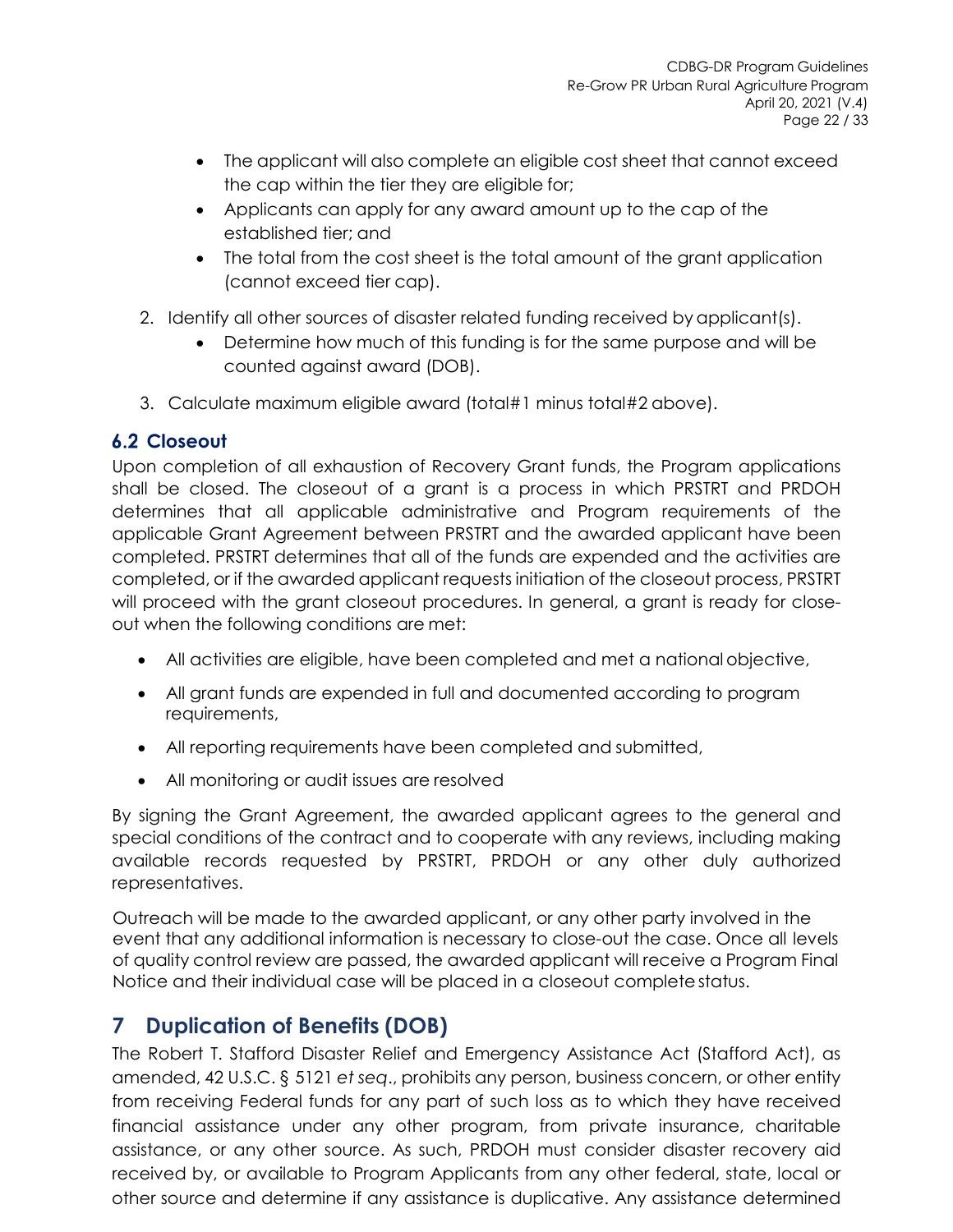- The applicant will also complete an eligible cost sheet that cannot exceed the cap within the tier they are eligible for;
- Applicants can apply for any award amount up to the cap of the established tier; and
- The total from the cost sheet is the total amount of the grant application (cannot exceed tier cap).
- 2. Identify all other sources of disaster related funding received by applicant(s).
	- Determine how much of this funding is for the same purpose and will be counted against award (DOB).
- <span id="page-21-0"></span>3. Calculate maximum eligible award (total#1 minus total#2 above).

# **6.2 Closeout**

Upon completion of all exhaustion of Recovery Grant funds, the Program applications shall be closed. The closeout of a grant is a process in which PRSTRT and PRDOH determines that all applicable administrative and Program requirements of the applicable Grant Agreement between PRSTRT and the awarded applicant have been completed. PRSTRT determines that all of the funds are expended and the activities are completed, or if the awarded applicant requests initiation of the closeout process, PRSTRT will proceed with the grant closeout procedures. In general, a grant is ready for closeout when the following conditions are met:

- All activities are eligible, have been completed and met a national objective,
- All grant funds are expended in full and documented according to program requirements,
- All reporting requirements have been completed and submitted,
- All monitoring or audit issues are resolved

By signing the Grant Agreement, the awarded applicant agrees to the general and special conditions of the contract and to cooperate with any reviews, including making available records requested by PRSTRT, PRDOH or any other duly authorized representatives.

Outreach will be made to the awarded applicant, or any other party involved in the event that any additional information is necessary to close-out the case. Once all levels of quality control review are passed, the awarded applicant will receive a Program Final Notice and their individual case will be placed in a closeout completestatus.

# <span id="page-21-1"></span>**7 Duplication of Benefits (DOB)**

The Robert T. Stafford Disaster Relief and Emergency Assistance Act (Stafford Act), as amended, 42 U.S.C. § 5121 *et seq*., prohibits any person, business concern, or other entity from receiving Federal funds for any part of such loss as to which they have received financial assistance under any other program, from private insurance, charitable assistance, or any other source. As such, PRDOH must consider disaster recovery aid received by, or available to Program Applicants from any other federal, state, local or other source and determine if any assistance is duplicative. Any assistance determined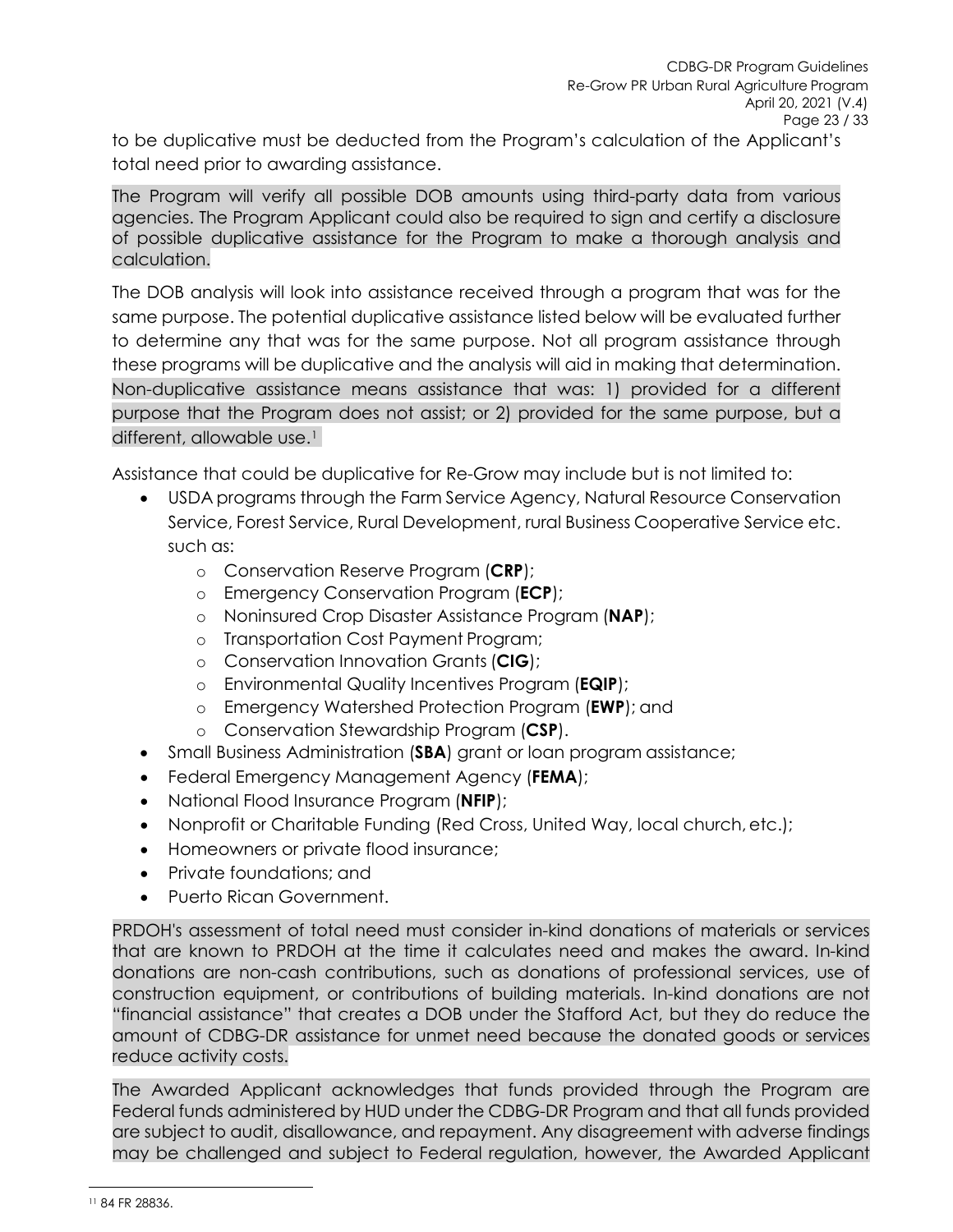to be duplicative must be deducted from the Program's calculation of the Applicant's total need prior to awarding assistance.

The Program will verify all possible DOB amounts using third-party data from various agencies. The Program Applicant could also be required to sign and certify a disclosure of possible duplicative assistance for the Program to make a thorough analysis and calculation.

The DOB analysis will look into assistance received through a program that was for the same purpose. The potential duplicative assistance listed below will be evaluated further to determine any that was for the same purpose. Not all program assistance through these programs will be duplicative and the analysis will aid in making that determination. Non-duplicative assistance means assistance that was: 1) provided for a different purpose that the Program does not assist; or 2) provided for the same purpose, but a different, allowable use.<sup>[1](#page-22-0)</sup>

Assistance that could be duplicative for Re-Grow may include but is not limited to:

- USDA programs through the Farm Service Agency, Natural Resource Conservation Service, Forest Service, Rural Development, rural Business Cooperative Service etc. such as:
	- o Conservation Reserve Program (**CRP**);
	- o Emergency Conservation Program (**ECP**);
	- o Noninsured Crop Disaster Assistance Program (**NAP**);
	- o Transportation Cost Payment Program;
	- o Conservation Innovation Grants (**CIG**);
	- o Environmental Quality Incentives Program (**EQIP**);
	- o Emergency Watershed Protection Program (**EWP**); and
	- o Conservation Stewardship Program (**CSP**).
- Small Business Administration (**SBA**) grant or loan program assistance;
- Federal Emergency Management Agency (**FEMA**);
- National Flood Insurance Program (**NFIP**);
- Nonprofit or Charitable Funding (Red Cross, United Way, local church, etc.);
- Homeowners or private flood insurance;
- Private foundations; and
- Puerto Rican Government.

PRDOH's assessment of total need must consider in-kind donations of materials or services that are known to PRDOH at the time it calculates need and makes the award. In-kind donations are non-cash contributions, such as donations of professional services, use of construction equipment, or contributions of building materials. In-kind donations are not "financial assistance" that creates a DOB under the Stafford Act, but they do reduce the amount of CDBG-DR assistance for unmet need because the donated goods or services reduce activity costs.

The Awarded Applicant acknowledges that funds provided through the Program are Federal funds administered by HUD under the CDBG-DR Program and that all funds provided are subject to audit, disallowance, and repayment. Any disagreement with adverse findings may be challenged and subject to Federal regulation, however, the Awarded Applicant

<span id="page-22-0"></span> <sup>11</sup> 84 FR 28836.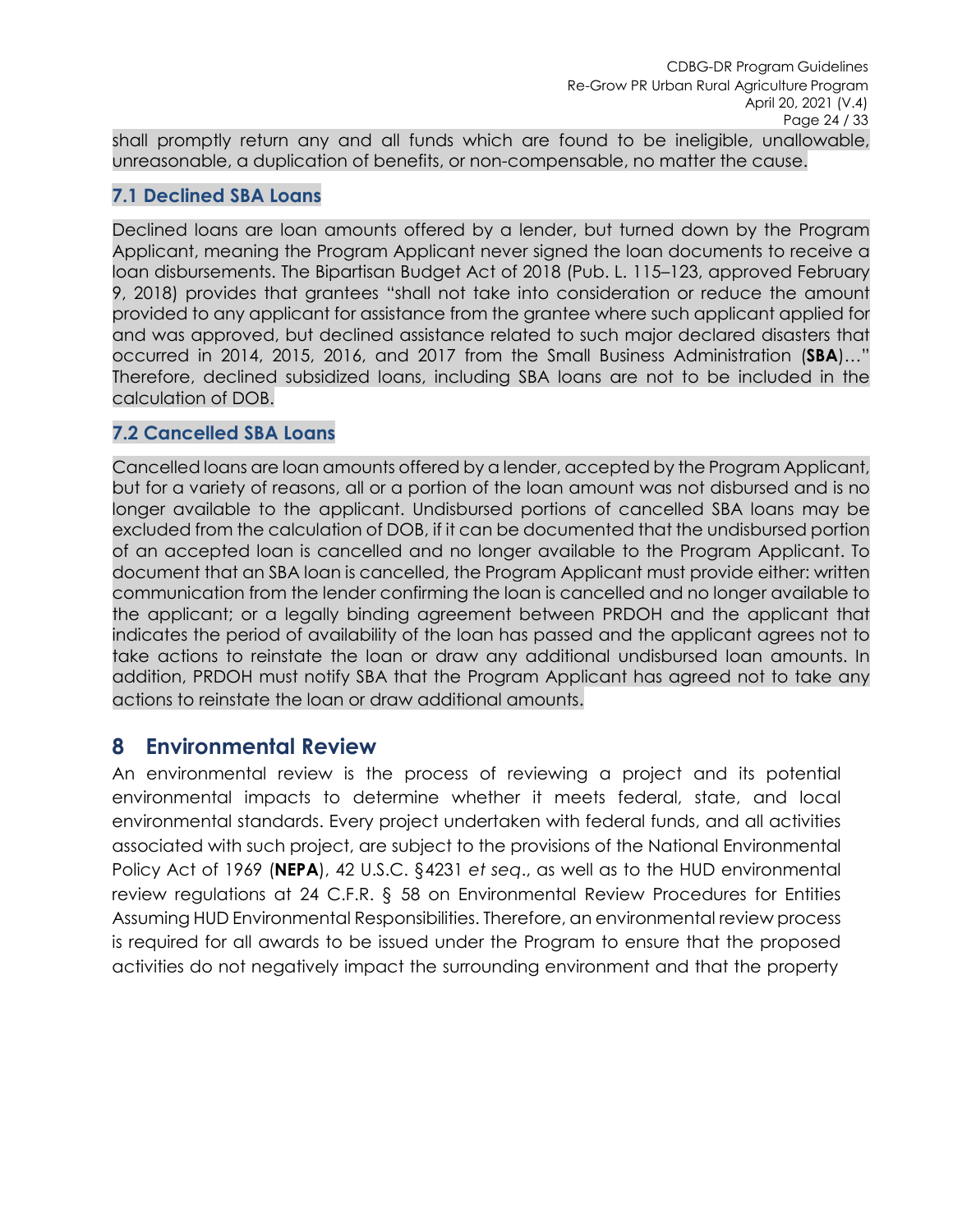shall promptly return any and all funds which are found to be ineligible, unallowable, unreasonable, a duplication of benefits, or non-compensable, no matter the cause.

#### **7.1 Declined SBA Loans**

Declined loans are loan amounts offered by a lender, but turned down by the Program Applicant, meaning the Program Applicant never signed the loan documents to receive a loan disbursements. The Bipartisan Budget Act of 2018 (Pub. L. 115–123, approved February 9, 2018) provides that grantees "shall not take into consideration or reduce the amount provided to any applicant for assistance from the grantee where such applicant applied for and was approved, but declined assistance related to such major declared disasters that occurred in 2014, 2015, 2016, and 2017 from the Small Business Administration (**SBA**)…" Therefore, declined subsidized loans, including SBA loans are not to be included in the calculation of DOB.

#### **7.2 Cancelled SBA Loans**

Cancelled loans are loan amounts offered by a lender, accepted by the Program Applicant, but for a variety of reasons, all or a portion of the loan amount was not disbursed and is no longer available to the applicant. Undisbursed portions of cancelled SBA loans may be excluded from the calculation of DOB, if it can be documented that the undisbursed portion of an accepted loan is cancelled and no longer available to the Program Applicant. To document that an SBA loan is cancelled, the Program Applicant must provide either: written communication from the lender confirming the loan is cancelled and no longer available to the applicant; or a legally binding agreement between PRDOH and the applicant that indicates the period of availability of the loan has passed and the applicant agrees not to take actions to reinstate the loan or draw any additional undisbursed loan amounts. In addition, PRDOH must notify SBA that the Program Applicant has agreed not to take any actions to reinstate the loan or draw additional amounts.

# <span id="page-23-0"></span>**8 Environmental Review**

An environmental review is the process of reviewing a project and its potential environmental impacts to determine whether it meets federal, state, and local environmental standards. Every project undertaken with federal funds, and all activities associated with such project, are subject to the provisions of the National Environmental Policy Act of 1969 (**NEPA**), 42 U.S.C. §4231 *et seq*., as well as to the HUD environmental review regulations at 24 C.F.R. § 58 on Environmental Review Procedures for Entities Assuming HUD Environmental Responsibilities. Therefore, an environmental review process is required for all awards to be issued under the Program to ensure that the proposed activities do not negatively impact the surrounding environment and that the property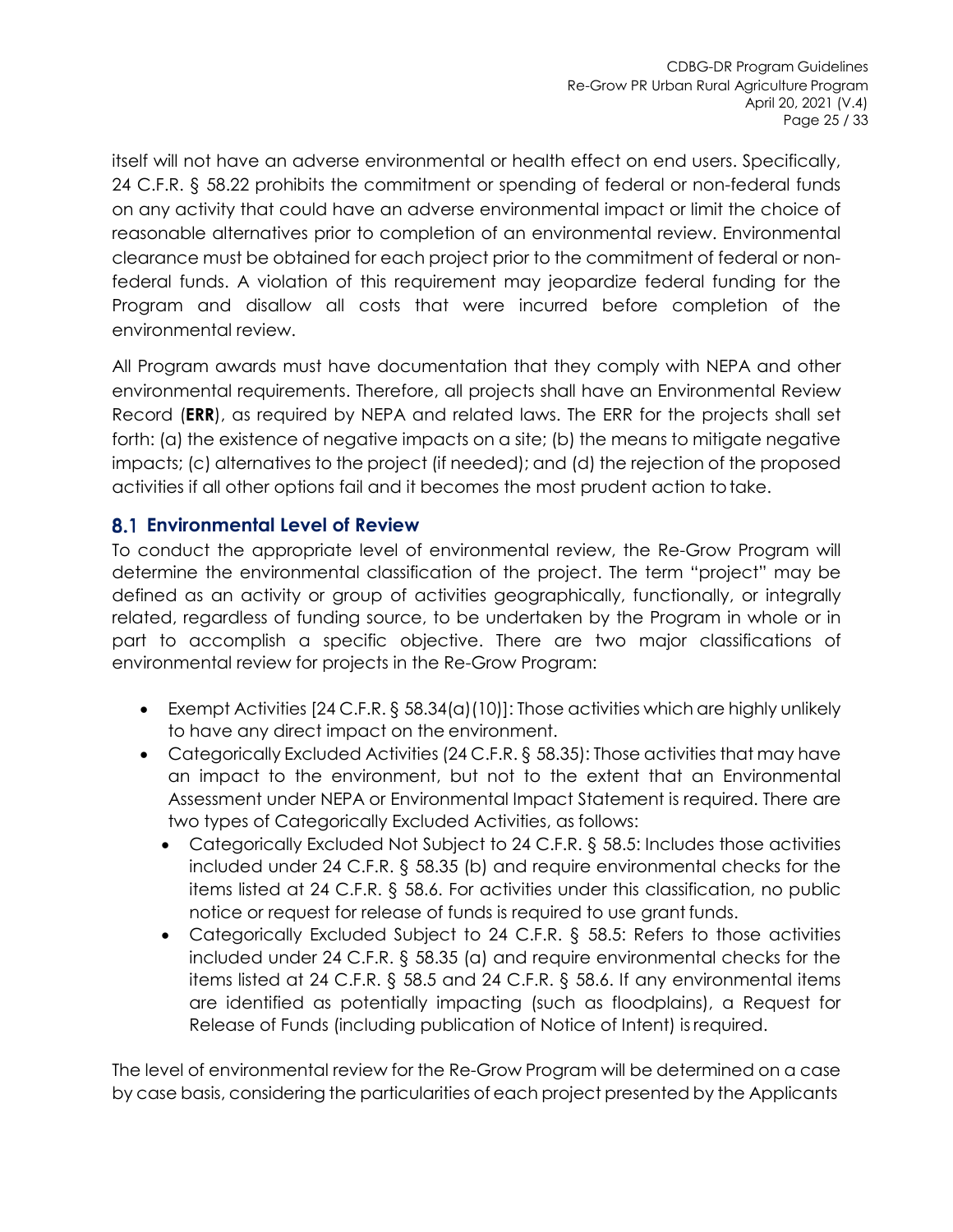itself will not have an adverse environmental or health effect on end users. Specifically, 24 C.F.R. § 58.22 prohibits the commitment or spending of federal or non-federal funds on any activity that could have an adverse environmental impact or limit the choice of reasonable alternatives prior to completion of an environmental review. Environmental clearance must be obtained for each project prior to the commitment of federal or nonfederal funds. A violation of this requirement may jeopardize federal funding for the Program and disallow all costs that were incurred before completion of the environmental review.

All Program awards must have documentation that they comply with NEPA and other environmental requirements. Therefore, all projects shall have an Environmental Review Record (**ERR**), as required by NEPA and related laws. The ERR for the projects shall set forth: (a) the existence of negative impacts on a site; (b) the means to mitigate negative impacts; (c) alternatives to the project (if needed); and (d) the rejection of the proposed activities if all other options fail and it becomes the most prudent action totake.

# <span id="page-24-0"></span>**Environmental Level of Review**

To conduct the appropriate level of environmental review, the Re-Grow Program will determine the environmental classification of the project. The term "project" may be defined as an activity or group of activities geographically, functionally, or integrally related, regardless of funding source, to be undertaken by the Program in whole or in part to accomplish a specific objective. There are two major classifications of environmental review for projects in the Re-Grow Program:

- Exempt Activities [24 C.F.R. § 58.34(a)(10)]: Those activities which are highly unlikely to have any direct impact on the environment.
- Categorically Excluded Activities (24 C.F.R. § 58.35): Those activities that may have an impact to the environment, but not to the extent that an Environmental Assessment under NEPA or Environmental Impact Statement is required. There are two types of Categorically Excluded Activities, as follows:
	- Categorically Excluded Not Subject to 24 C.F.R. § 58.5: Includes those activities included under 24 C.F.R. § 58.35 (b) and require environmental checks for the items listed at 24 C.F.R. § 58.6. For activities under this classification, no public notice or request for release of funds is required to use grant funds.
	- Categorically Excluded Subject to 24 C.F.R. § 58.5: Refers to those activities included under 24 C.F.R. § 58.35 (a) and require environmental checks for the items listed at 24 C.F.R. § 58.5 and 24 C.F.R. § 58.6. If any environmental items are identified as potentially impacting (such as floodplains), a Request for Release of Funds (including publication of Notice of Intent) isrequired.

The level of environmental review for the Re-Grow Program will be determined on a case by case basis, considering the particularities of each project presented by the Applicants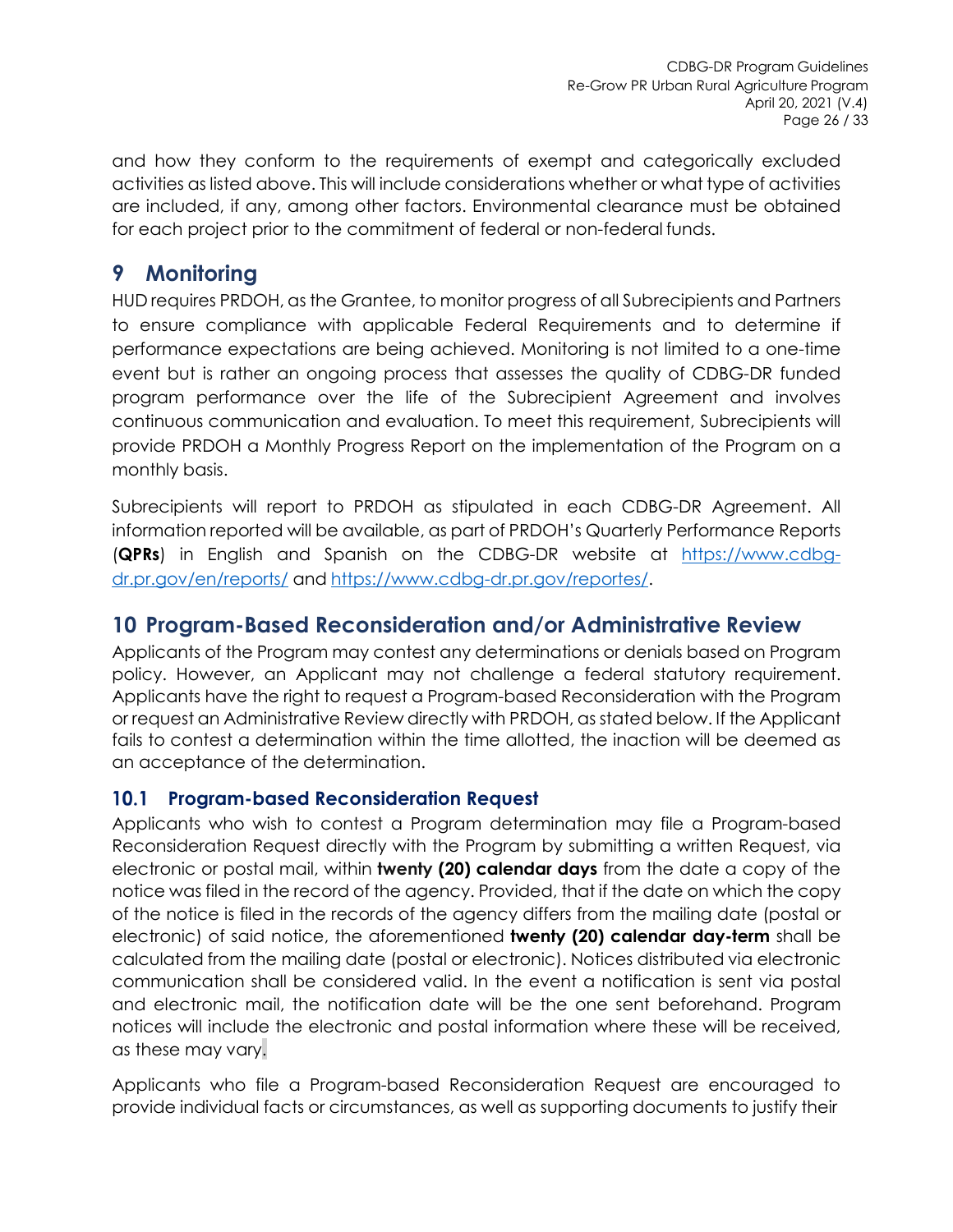and how they conform to the requirements of exempt and categorically excluded activities as listed above. This will include considerations whether or what type of activities are included, if any, among other factors. Environmental clearance must be obtained for each project prior to the commitment of federal or non-federal funds.

# <span id="page-25-0"></span>**9 Monitoring**

HUD requires PRDOH, as the Grantee, to monitor progress of all Subrecipients and Partners to ensure compliance with applicable Federal Requirements and to determine if performance expectations are being achieved. Monitoring is not limited to a one-time event but is rather an ongoing process that assesses the quality of CDBG-DR funded program performance over the life of the Subrecipient Agreement and involves continuous communication and evaluation. To meet this requirement, Subrecipients will provide PRDOH a Monthly Progress Report on the implementation of the Program on a monthly basis.

Subrecipients will report to PRDOH as stipulated in each CDBG-DR Agreement. All information reported will be available, as part of PRDOH's Quarterly Performance Reports (**QPRs**) in English and Spanish on the CDBG-DR website at [https://www.cdbg](https://www.cdbg-dr.pr.gov/en/reports/)[dr.pr.gov/en/reports/](https://www.cdbg-dr.pr.gov/en/reports/) and [https://www.cdbg-dr.pr.gov/reportes/.](https://www.cdbg-dr.pr.gov/reportes/)

# <span id="page-25-1"></span>**10 Program-Based Reconsideration and/or Administrative Review**

Applicants of the Program may contest any determinations or denials based on Program policy. However, an Applicant may not challenge a federal statutory requirement. Applicants have the right to request a Program-based Reconsideration with the Program or request an Administrative Review directly with PRDOH, as stated below. If the Applicant fails to contest a determination within the time allotted, the inaction will be deemed as an acceptance of the determination.

#### <span id="page-25-2"></span>**Program-based Reconsideration Request** 10.1

Applicants who wish to contest a Program determination may file a Program-based Reconsideration Request directly with the Program by submitting a written Request, via electronic or postal mail, within **twenty (20) calendar days** from the date a copy of the notice was filed in the record of the agency. Provided, that if the date on which the copy of the notice is filed in the records of the agency differs from the mailing date (postal or electronic) of said notice, the aforementioned **twenty (20) calendar day-term** shall be calculated from the mailing date (postal or electronic). Notices distributed via electronic communication shall be considered valid. In the event a notification is sent via postal and electronic mail, the notification date will be the one sent beforehand. Program notices will include the electronic and postal information where these will be received, as these may vary.

Applicants who file a Program-based Reconsideration Request are encouraged to provide individual facts or circumstances, as well as supporting documents to justify their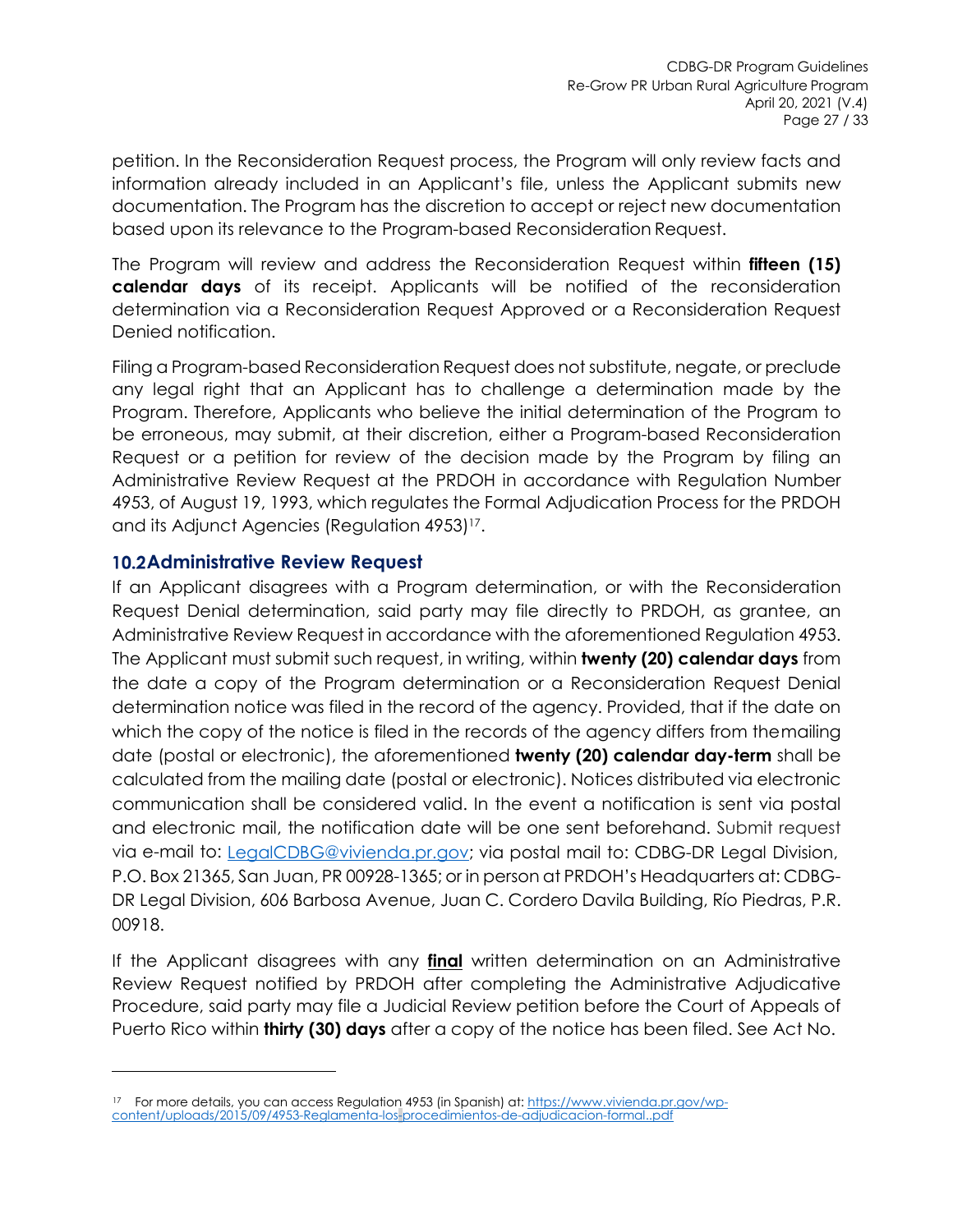petition. In the Reconsideration Request process, the Program will only review facts and information already included in an Applicant's file, unless the Applicant submits new documentation. The Program has the discretion to accept or reject new documentation based upon its relevance to the Program-based Reconsideration Request.

The Program will review and address the Reconsideration Request within **fifteen (15) calendar days** of its receipt. Applicants will be notified of the reconsideration determination via a Reconsideration Request Approved or a Reconsideration Request Denied notification.

Filing a Program-based Reconsideration Request does not substitute, negate, or preclude any legal right that an Applicant has to challenge a determination made by the Program. Therefore, Applicants who believe the initial determination of the Program to be erroneous, may submit, at their discretion, either a Program-based Reconsideration Request or a petition for review of the decision made by the Program by filing an Administrative Review Request at the PRDOH in accordance with Regulation Number 4953, of August 19, 1993, which regulates the Formal Adjudication Process for the PRDOH and its Adjunct Agencies (Regulation 4953[\)17.](#page-26-1)

#### <span id="page-26-0"></span>**10.2 Administrative Review Request**

If an Applicant disagrees with a Program determination, or with the Reconsideration Request Denial determination, said party may file directly to PRDOH, as grantee, an Administrative Review Request in accordance with the aforementioned Regulation 4953. The Applicant must submit such request, in writing, within **twenty (20) calendar days** from the date a copy of the Program determination or a Reconsideration Request Denial determination notice was filed in the record of the agency. Provided, that if the date on which the copy of the notice is filed in the records of the agency differs from themailing date (postal or electronic), the aforementioned **twenty (20) calendar day-term** shall be calculated from the mailing date (postal or electronic). Notices distributed via electronic communication shall be considered valid. In the event a notification is sent via postal and electronic mail, the notification date will be one sent beforehand. Submit request via e-mail to: [LegalCDBG@vivienda.pr.gov;](mailto:LegalCDBG@vivienda.pr.gov) via postal mail to: CDBG-DR Legal Division, P.O. Box 21365, San Juan, PR 00928-1365; or in person at PRDOH's Headquarters at: CDBG-DR Legal Division, 606 Barbosa Avenue, Juan C. Cordero Davila Building, Río Piedras, P.R. 00918.

If the Applicant disagrees with any **final** written determination on an Administrative Review Request notified by PRDOH after completing the Administrative Adjudicative Procedure, said party may file a Judicial Review petition before the Court of Appeals of Puerto Rico within **thirty (30) days** after a copy of the notice has been filed. See Act No.

<span id="page-26-1"></span>[content/uploads/2015/09/4953-Reglamenta-los-procedimientos-de-adjudicacion-formal..pdf](https://www.vivienda.pr.gov/wp-content/uploads/2015/09/4953-Reglamenta-los-procedimientos-de-adjudicacion-formal..pdf) 17 For more details, you can access Regulation 4953 (in Spanish) at: [https://www.vivienda.pr.gov/wp-](https://www.vivienda.pr.gov/wp-content/uploads/2015/09/4953-Reglamenta-los-procedimientos-de-adjudicacion-formal..pdf)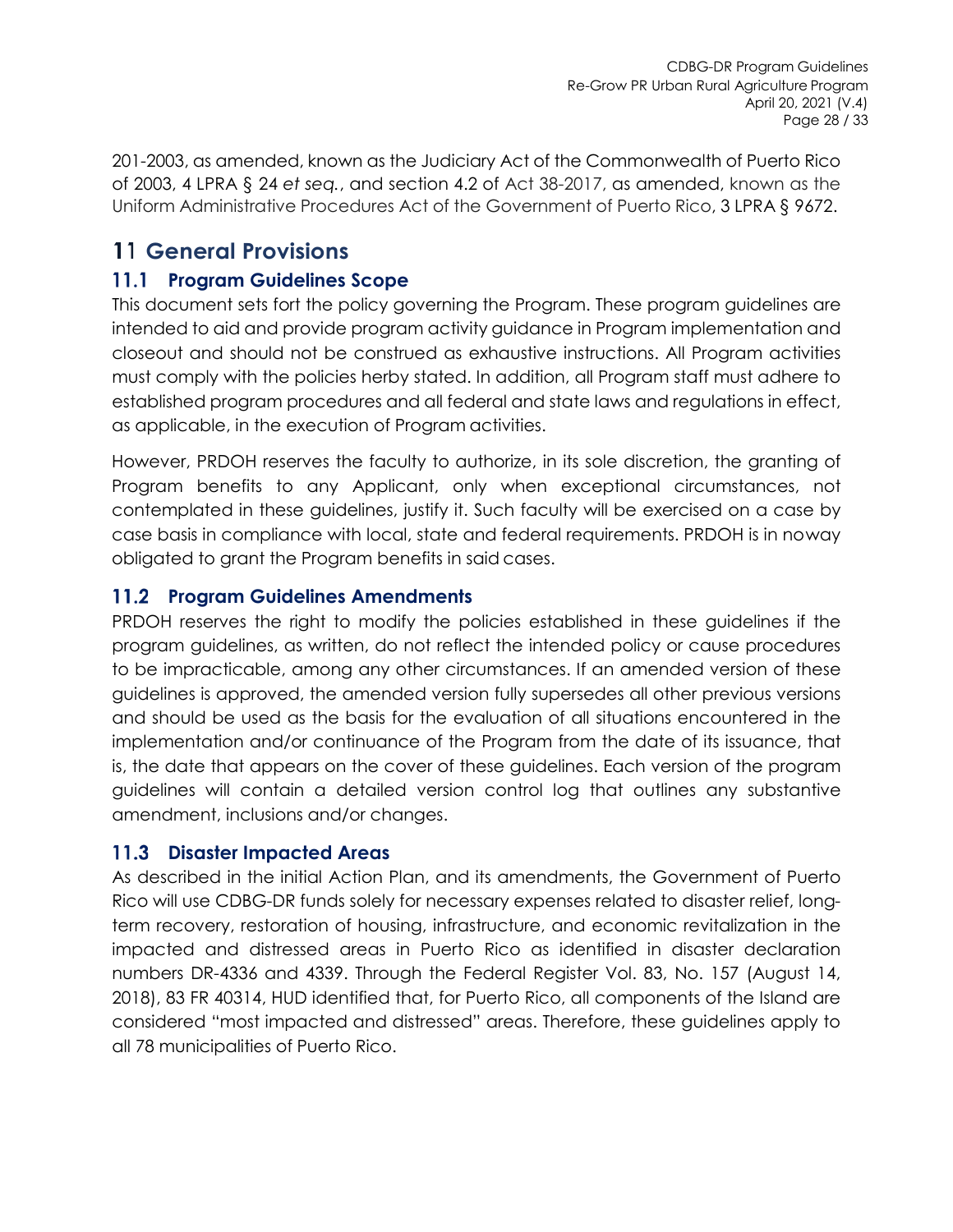201-2003, as amended, known as the Judiciary Act of the Commonwealth of Puerto Rico of 2003, 4 LPRA § 24 *et seq.*, and section 4.2 of Act 38-2017, as amended, known as the Uniform Administrative Procedures Act of the Government of Puerto Rico, 3 LPRA § 9672.

# <span id="page-27-0"></span>**General Provisions**

# <span id="page-27-1"></span>**Program Guidelines Scope**

This document sets fort the policy governing the Program. These program guidelines are intended to aid and provide program activity guidance in Program implementation and closeout and should not be construed as exhaustive instructions. All Program activities must comply with the policies herby stated. In addition, all Program staff must adhere to established program procedures and all federal and state laws and regulations in effect, as applicable, in the execution of Program activities.

However, PRDOH reserves the faculty to authorize, in its sole discretion, the granting of Program benefits to any Applicant, only when exceptional circumstances, not contemplated in these guidelines, justify it. Such faculty will be exercised on a case by case basis in compliance with local, state and federal requirements. PRDOH is in noway obligated to grant the Program benefits in said cases.

# <span id="page-27-2"></span>**Program Guidelines Amendments**

PRDOH reserves the right to modify the policies established in these guidelines if the program guidelines, as written, do not reflect the intended policy or cause procedures to be impracticable, among any other circumstances. If an amended version of these guidelines is approved, the amended version fully supersedes all other previous versions and should be used as the basis for the evaluation of all situations encountered in the implementation and/or continuance of the Program from the date of its issuance, that is, the date that appears on the cover of these guidelines. Each version of the program guidelines will contain a detailed version control log that outlines any substantive amendment, inclusions and/or changes.

# <span id="page-27-3"></span>**Disaster Impacted Areas**

As described in the initial Action Plan, and its amendments, the Government of Puerto Rico will use CDBG-DR funds solely for necessary expenses related to disaster relief, longterm recovery, restoration of housing, infrastructure, and economic revitalization in the impacted and distressed areas in Puerto Rico as identified in disaster declaration numbers DR-4336 and 4339. Through the Federal Register Vol. 83, No. 157 (August 14, 2018), 83 FR 40314, HUD identified that, for Puerto Rico, all components of the Island are considered "most impacted and distressed" areas. Therefore, these guidelines apply to all 78 municipalities of Puerto Rico.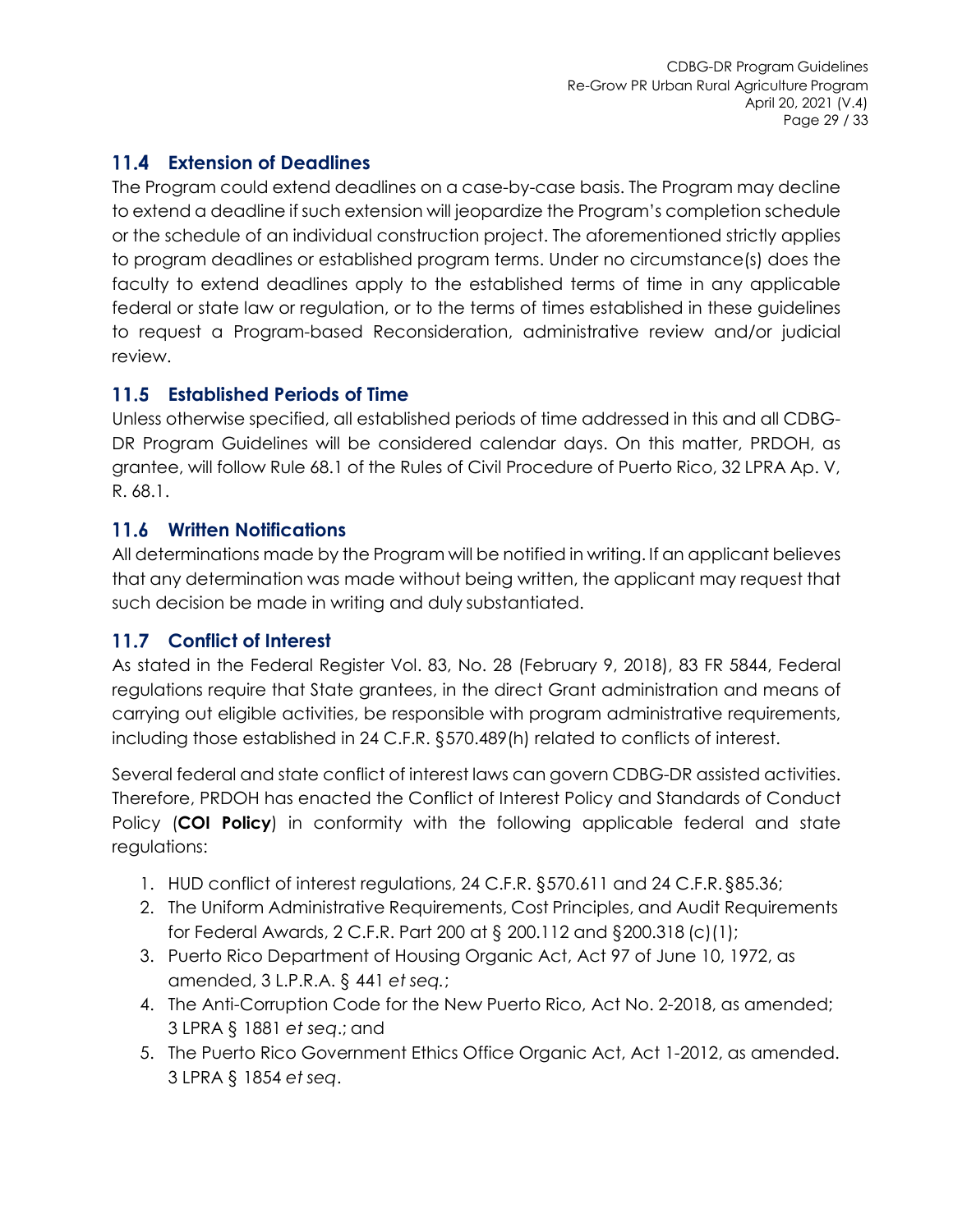# <span id="page-28-0"></span>**Extension of Deadlines**

The Program could extend deadlines on a case-by-case basis. The Program may decline to extend a deadline if such extension will jeopardize the Program's completion schedule or the schedule of an individual construction project. The aforementioned strictly applies to program deadlines or established program terms. Under no circumstance(s) does the faculty to extend deadlines apply to the established terms of time in any applicable federal or state law or regulation, or to the terms of times established in these guidelines to request a Program-based Reconsideration, administrative review and/or judicial review.

# <span id="page-28-1"></span>**Established Periods of Time**

Unless otherwise specified, all established periods of time addressed in this and all CDBG-DR Program Guidelines will be considered calendar days. On this matter, PRDOH, as grantee, will follow Rule 68.1 of the Rules of Civil Procedure of Puerto Rico, 32 LPRA Ap. V, R. 68.1.

# <span id="page-28-2"></span>**Written Notifications**

All determinations made by the Program will be notified in writing. If an applicant believes that any determination was made without being written, the applicant may request that such decision be made in writing and duly substantiated.

# <span id="page-28-3"></span>**Conflict of Interest**

As stated in the Federal Register Vol. 83, No. 28 (February 9, 2018), 83 FR 5844, Federal regulations require that State grantees, in the direct Grant administration and means of carrying out eligible activities, be responsible with program administrative requirements, including those established in 24 C.F.R. §570.489(h) related to conflicts of interest.

Several federal and state conflict of interest laws can govern CDBG-DR assisted activities. Therefore, PRDOH has enacted the Conflict of Interest Policy and Standards of Conduct Policy (**COI Policy**) in conformity with the following applicable federal and state regulations:

- 1. HUD conflict of interest regulations, 24 C.F.R. §570.611 and 24 C.F.R.§85.36;
- 2. The Uniform Administrative Requirements, Cost Principles, and Audit Requirements for Federal Awards, 2 C.F.R. Part 200 at § 200.112 and §200.318 (c)(1);
- 3. Puerto Rico Department of Housing Organic Act, Act 97 of June 10, 1972, as amended, 3 L.P.R.A. § 441 *et seq.*;
- 4. The Anti-Corruption Code for the New Puerto Rico, Act No. 2-2018, as amended; 3 LPRA § 1881 *et seq*.; and
- 5. The Puerto Rico Government Ethics Office Organic Act, Act 1-2012, as amended. 3 LPRA § 1854 *et seq*.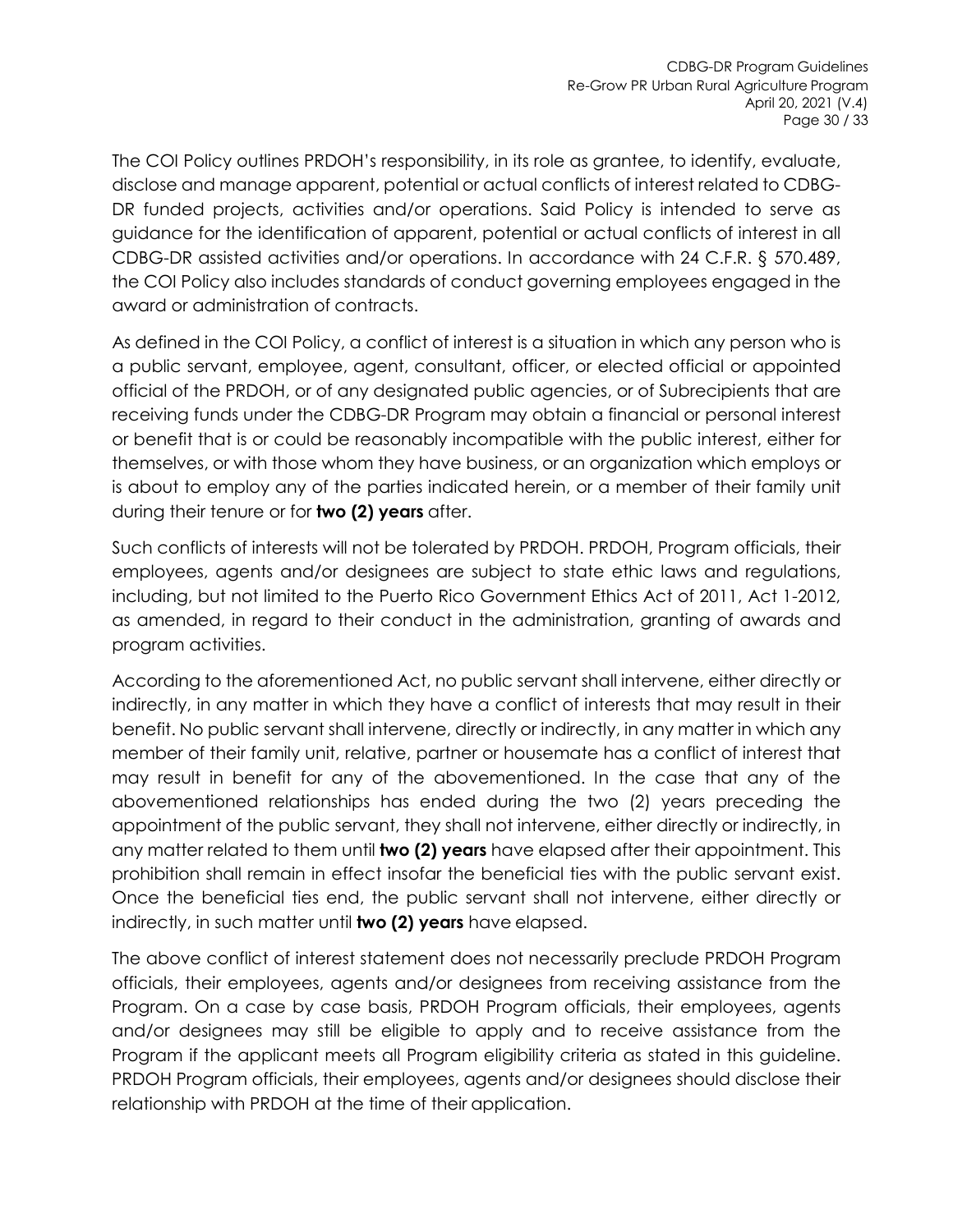The COI Policy outlines PRDOH's responsibility, in its role as grantee, to identify, evaluate, disclose and manage apparent, potential or actual conflicts of interest related to CDBG-DR funded projects, activities and/or operations. Said Policy is intended to serve as guidance for the identification of apparent, potential or actual conflicts of interest in all CDBG-DR assisted activities and/or operations. In accordance with 24 C.F.R. § 570.489, the COI Policy also includes standards of conduct governing employees engaged in the award or administration of contracts.

As defined in the COI Policy, a conflict of interest is a situation in which any person who is a public servant, employee, agent, consultant, officer, or elected official or appointed official of the PRDOH, or of any designated public agencies, or of Subrecipients that are receiving funds under the CDBG-DR Program may obtain a financial or personal interest or benefit that is or could be reasonably incompatible with the public interest, either for themselves, or with those whom they have business, or an organization which employs or is about to employ any of the parties indicated herein, or a member of their family unit during their tenure or for **two (2) years** after.

Such conflicts of interests will not be tolerated by PRDOH. PRDOH, Program officials, their employees, agents and/or designees are subject to state ethic laws and regulations, including, but not limited to the Puerto Rico Government Ethics Act of 2011, Act 1-2012, as amended, in regard to their conduct in the administration, granting of awards and program activities.

According to the aforementioned Act, no public servant shall intervene, either directly or indirectly, in any matter in which they have a conflict of interests that may result in their benefit. No public servant shall intervene, directly or indirectly, in any matter in which any member of their family unit, relative, partner or housemate has a conflict of interest that may result in benefit for any of the abovementioned. In the case that any of the abovementioned relationships has ended during the two (2) years preceding the appointment of the public servant, they shall not intervene, either directly or indirectly, in any matter related to them until **two (2) years** have elapsed after their appointment. This prohibition shall remain in effect insofar the beneficial ties with the public servant exist. Once the beneficial ties end, the public servant shall not intervene, either directly or indirectly, in such matter until **two (2) years** have elapsed.

The above conflict of interest statement does not necessarily preclude PRDOH Program officials, their employees, agents and/or designees from receiving assistance from the Program. On a case by case basis, PRDOH Program officials, their employees, agents and/or designees may still be eligible to apply and to receive assistance from the Program if the applicant meets all Program eligibility criteria as stated in this guideline. PRDOH Program officials, their employees, agents and/or designees should disclose their relationship with PRDOH at the time of their application.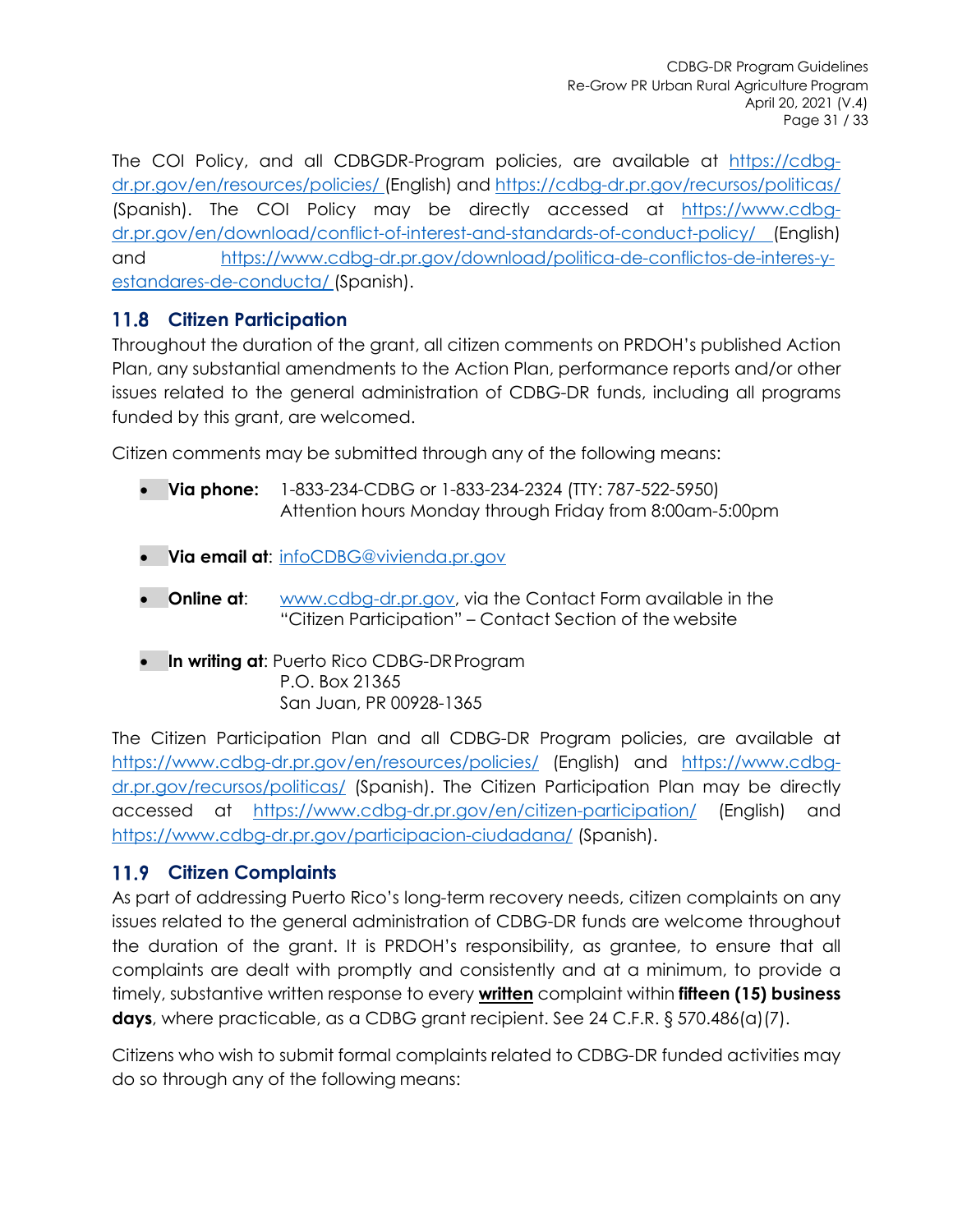The COI Policy, and all CDBGDR-Program policies, are available at [https://cdbg](https://cdbg-dr.pr.gov/en/resources/policies/)[dr.pr.gov/en/resources/policies/ \(](https://cdbg-dr.pr.gov/en/resources/policies/)English) and<https://cdbg-dr.pr.gov/recursos/politicas/> (Spanish). The COI Policy may be directly accessed at [https://www.cdbg](https://www.cdbg-dr.pr.gov/en/download/conflict-of-interest-and-standards-of-conduct-policy/)[dr.pr.gov/en/download/conflict-of-interest-and-standards-of-conduct-policy/](https://www.cdbg-dr.pr.gov/en/download/conflict-of-interest-and-standards-of-conduct-policy/) (English) and [https://www.cdbg-dr.pr.gov/download/politica-de-conflictos-de-interes-y](https://www.cdbg-dr.pr.gov/download/politica-de-conflictos-de-interes-y-estandares-de-conducta/)[estandares-de-conducta/](https://www.cdbg-dr.pr.gov/download/politica-de-conflictos-de-interes-y-estandares-de-conducta/) (Spanish).

# <span id="page-30-0"></span>**Citizen Participation**

Throughout the duration of the grant, all citizen comments on PRDOH's published Action Plan, any substantial amendments to the Action Plan, performance reports and/or other issues related to the general administration of CDBG-DR funds, including all programs funded by this grant, are welcomed.

Citizen comments may be submitted through any of the following means:

- **Via phone:** 1-833-234-CDBG or 1-833-234-2324 (TTY: 787-522-5950) Attention hours Monday through Friday from 8:00am-5:00pm
- **Via email at**: [infoCDBG@vivienda.pr.gov](mailto:infoCDBG@vivienda.pr.gov)
- **Online at**: [www.cdbg-dr.pr.gov,](http://www.cdbg-dr.pr.gov/) via the Contact Form available in the "Citizen Participation" – Contact Section of the website
- **In writing at**: Puerto Rico CDBG-DRProgram P.O. Box 21365 San Juan, PR 00928-1365

The Citizen Participation Plan and all CDBG-DR Program policies, are available at <https://www.cdbg-dr.pr.gov/en/resources/policies/> (English) and [https://www.cdbg](https://www.cdbg-dr.pr.gov/recursos/politicas/)[dr.pr.gov/recursos/politicas/](https://www.cdbg-dr.pr.gov/recursos/politicas/) (Spanish). The Citizen Participation Plan may be directly accessed at <https://www.cdbg-dr.pr.gov/en/citizen-participation/> (English) and <https://www.cdbg-dr.pr.gov/participacion-ciudadana/> (Spanish).

# <span id="page-30-1"></span>**Citizen Complaints**

As part of addressing Puerto Rico's long-term recovery needs, citizen complaints on any issues related to the general administration of CDBG-DR funds are welcome throughout the duration of the grant. It is PRDOH's responsibility, as grantee, to ensure that all complaints are dealt with promptly and consistently and at a minimum, to provide a timely, substantive written response to every **written** complaint within **fifteen (15) business days**, where practicable, as a CDBG grant recipient. See 24 C.F.R. § 570.486(a)(7).

Citizens who wish to submit formal complaints related to CDBG-DR funded activities may do so through any of the following means: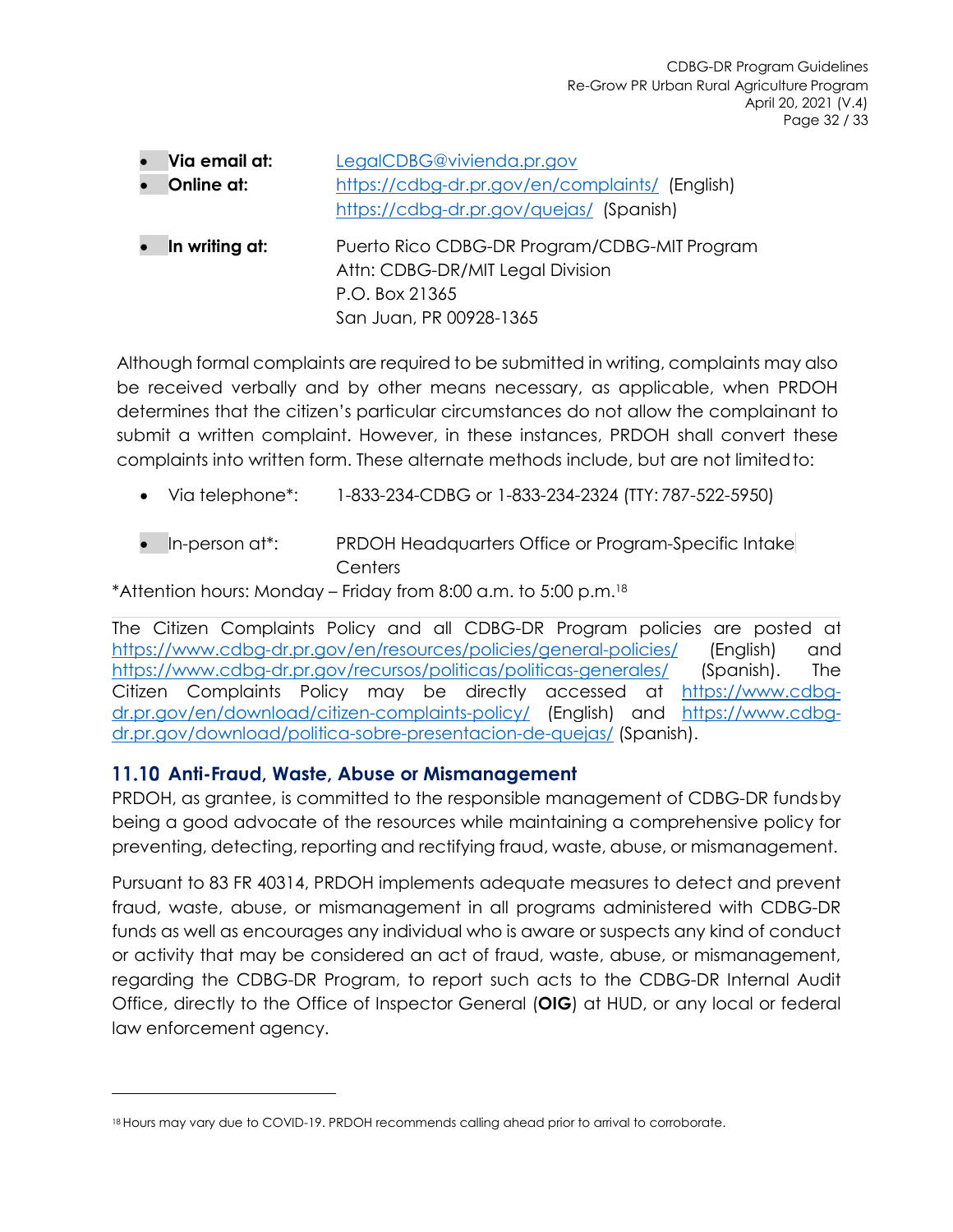**Via email at:** [LegalCDBG@vivienda.pr.gov](mailto:LegalCDBG@vivienda.pr.gov) • **Online at:** <https://cdbg-dr.pr.gov/en/complaints/> (English) <https://cdbg-dr.pr.gov/quejas/> (Spanish) • **In writing at:** Puerto Rico CDBG-DR Program/CDBG-MIT Program Attn: CDBG-DR/MIT Legal Division P.O. Box 21365 San Juan, PR 00928-1365

Although formal complaints are required to be submitted in writing, complaints may also be received verbally and by other means necessary, as applicable, when PRDOH determines that the citizen's particular circumstances do not allow the complainant to submit a written complaint. However, in these instances, PRDOH shall convert these complaints into written form. These alternate methods include, but are not limitedto:

- Via telephone\*: 1-833-234-CDBG or 1-833-234-2324 (TTY: 787-522-5950)
- In-person at\*: PRDOH Headquarters Office or Program-Specific Intake **Centers**

\*Attention hours: Monday – Friday from 8:00 a.m. to 5:00 p.m.<sup>18</sup>

The Citizen Complaints Policy and all CDBG-DR Program policies are posted at <https://www.cdbg-dr.pr.gov/en/resources/policies/general-policies/> (English) and <https://www.cdbg-dr.pr.gov/recursos/politicas/politicas-generales/> (Spanish). The Citizen Complaints Policy may be directly accessed at [https://www.cdbg](https://www.cdbg-dr.pr.gov/en/download/citizen-complaints-policy/)[dr.pr.gov/en/download/citizen-complaints-policy/](https://www.cdbg-dr.pr.gov/en/download/citizen-complaints-policy/) (English) and [https://www.cdbg](https://www.cdbg-dr.pr.gov/download/politica-sobre-presentacion-de-quejas/)[dr.pr.gov/download/politica-sobre-presentacion-de-quejas/](https://www.cdbg-dr.pr.gov/download/politica-sobre-presentacion-de-quejas/) (Spanish).

#### <span id="page-31-0"></span>**Anti-Fraud, Waste, Abuse or Mismanagement**

PRDOH, as grantee, is committed to the responsible management of CDBG-DR fundsby being a good advocate of the resources while maintaining a comprehensive policy for preventing, detecting, reporting and rectifying fraud, waste, abuse, or mismanagement.

Pursuant to 83 FR 40314, PRDOH implements adequate measures to detect and prevent fraud, waste, abuse, or mismanagement in all programs administered with CDBG-DR funds as well as encourages any individual who is aware or suspects any kind of conduct or activity that may be considered an act of fraud, waste, abuse, or mismanagement, regarding the CDBG-DR Program, to report such acts to the CDBG-DR Internal Audit Office, directly to the Office of Inspector General (**OIG**) at HUD, or any local or federal law enforcement agency.

<span id="page-31-1"></span><sup>18</sup> Hours may vary due to COVID-19. PRDOH recommends calling ahead prior to arrival to corroborate.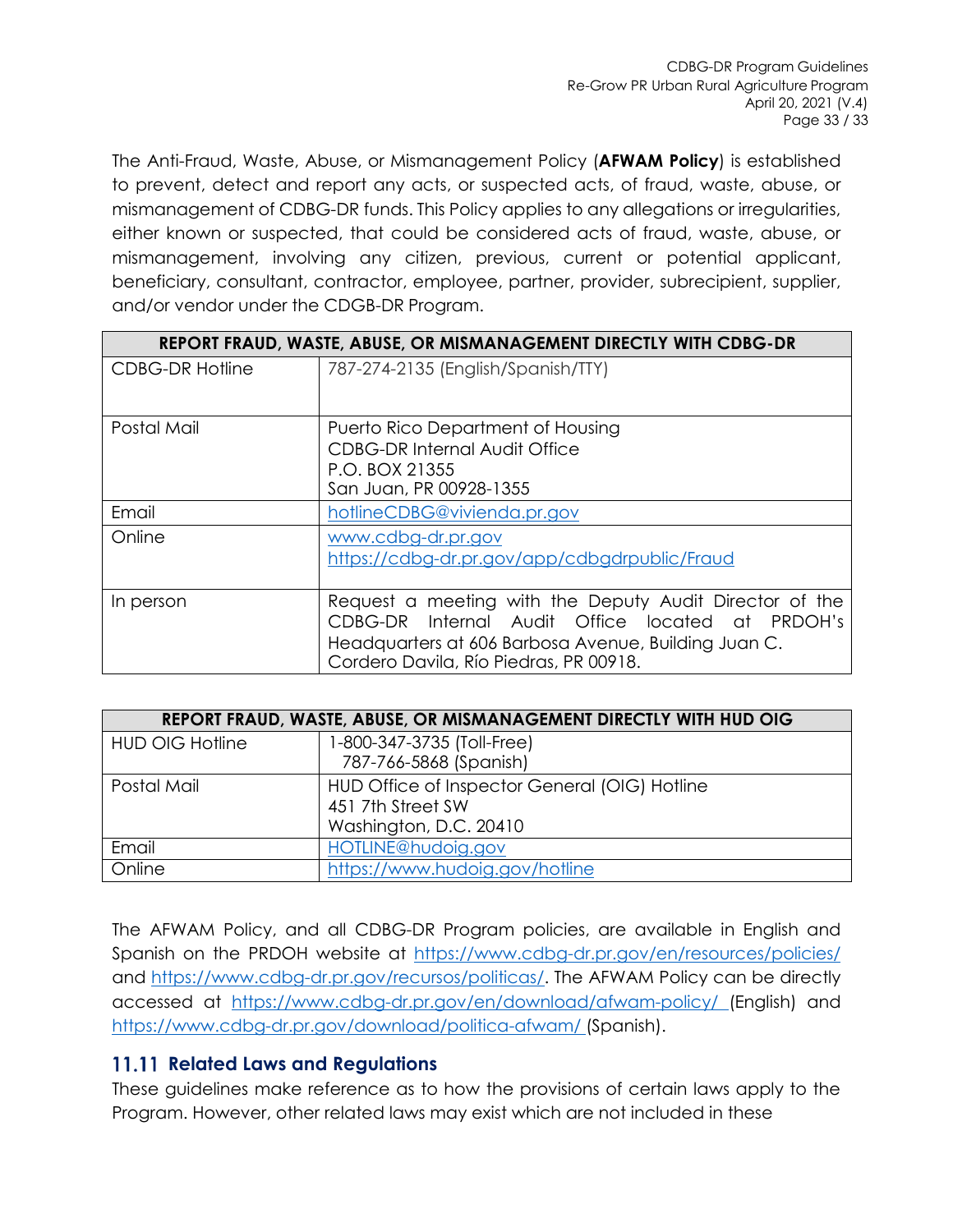The Anti-Fraud, Waste, Abuse, or Mismanagement Policy (**AFWAM Policy**) is established to prevent, detect and report any acts, or suspected acts, of fraud, waste, abuse, or mismanagement of CDBG-DR funds. This Policy applies to any allegations or irregularities, either known or suspected, that could be considered acts of fraud, waste, abuse, or mismanagement, involving any citizen, previous, current or potential applicant, beneficiary, consultant, contractor, employee, partner, provider, subrecipient, supplier, and/or vendor under the CDGB-DR Program.

| REPORT FRAUD, WASTE, ABUSE, OR MISMANAGEMENT DIRECTLY WITH CDBG-DR |                                                                                                                                                                                                               |
|--------------------------------------------------------------------|---------------------------------------------------------------------------------------------------------------------------------------------------------------------------------------------------------------|
| <b>CDBG-DR Hotline</b>                                             | 787-274-2135 (English/Spanish/TTY)                                                                                                                                                                            |
| Postal Mail                                                        | Puerto Rico Department of Housing<br><b>CDBG-DR Internal Audit Office</b><br>P.O. BOX 21355<br>San Juan, PR 00928-1355                                                                                        |
| Email                                                              | hotlineCDBG@vivienda.pr.gov                                                                                                                                                                                   |
| Online                                                             | www.cdbg-dr.pr.gov<br>https://cdbg-dr.pr.gov/app/cdbgdrpublic/Fraud                                                                                                                                           |
| In person                                                          | Request a meeting with the Deputy Audit Director of the<br>CDBG-DR Internal Audit Office located at PRDOH's<br>Headquarters at 606 Barbosa Avenue, Building Juan C.<br>Cordero Davila, Río Piedras, PR 00918. |

| REPORT FRAUD, WASTE, ABUSE, OR MISMANAGEMENT DIRECTLY WITH HUD OIG |                                                      |
|--------------------------------------------------------------------|------------------------------------------------------|
| <b>HUD OIG Hotline</b>                                             | 1-800-347-3735 (Toll-Free)<br>787-766-5868 (Spanish) |
|                                                                    |                                                      |
| Postal Mail                                                        | HUD Office of Inspector General (OIG) Hotline        |
|                                                                    | 451 7th Street SW                                    |
|                                                                    | Washington, D.C. 20410                               |
| Email                                                              | HOTLINE@hudoig.gov                                   |
| Online                                                             | https://www.hudoig.gov/hotline                       |

The AFWAM Policy, and all CDBG-DR Program policies, are available in English and Spanish on the PRDOH website at<https://www.cdbg-dr.pr.gov/en/resources/policies/> and [https://www.cdbg-dr.pr.gov/recursos/politicas/.](https://www.cdbg-dr.pr.gov/recursos/politicas/) The AFWAM Policy can be directly accessed at <https://www.cdbg-dr.pr.gov/en/download/afwam-policy/> (English) and [https://www.cdbg-dr.pr.gov/download/politica-afwam/ \(](https://www.cdbg-dr.pr.gov/download/politica-afwam/)Spanish).

# <span id="page-32-0"></span>**Related Laws and Regulations**

These guidelines make reference as to how the provisions of certain laws apply to the Program. However, other related laws may exist which are not included in these